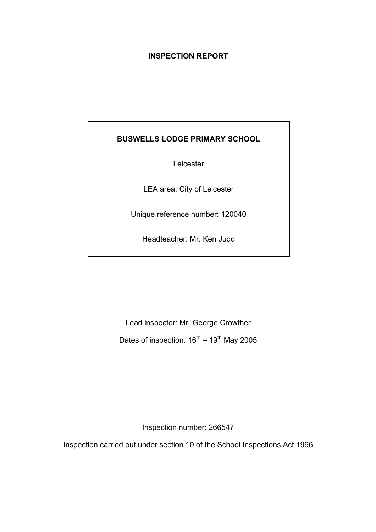# **INSPECTION REPORT**

# **BUSWELLS LODGE PRIMARY SCHOOL**

Leicester

LEA area: City of Leicester

Unique reference number: 120040

Headteacher: Mr. Ken Judd

Lead inspector: Mr. George Crowther Dates of inspection:  $16^{th} - 19^{th}$  May 2005

Inspection number: 266547

Inspection carried out under section 10 of the School Inspections Act 1996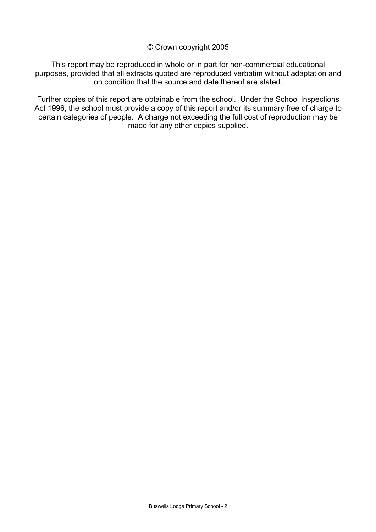## © Crown copyright 2005

This report may be reproduced in whole or in part for non-commercial educational purposes, provided that all extracts quoted are reproduced verbatim without adaptation and on condition that the source and date thereof are stated.

Further copies of this report are obtainable from the school. Under the School Inspections Act 1996, the school must provide a copy of this report and/or its summary free of charge to certain categories of people. A charge not exceeding the full cost of reproduction may be made for any other copies supplied.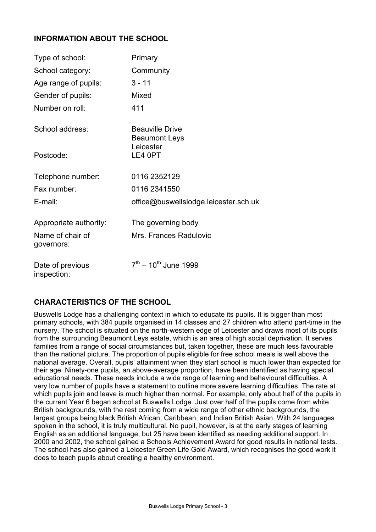# **INFORMATION ABOUT THE SCHOOL**

| Type of school:                 | Primary                                                     |
|---------------------------------|-------------------------------------------------------------|
| School category:                | Community                                                   |
| Age range of pupils:            | $3 - 11$                                                    |
| Gender of pupils:               | Mixed                                                       |
| Number on roll:                 | 411                                                         |
| School address:                 | <b>Beauville Drive</b><br><b>Beaumont Leys</b><br>Leicester |
| Postcode:                       | LE4 0PT                                                     |
| Telephone number:               | 0116 2352129                                                |
| Fax number:                     | 0116 2341550                                                |
| E-mail:                         | office@buswellslodge.leicester.sch.uk                       |
| Appropriate authority:          | The governing body                                          |
| Name of chair of<br>governors:  | Mrs. Frances Radulovic                                      |
| Date of previous<br>inspection: | $7^{\text{th}} - 10^{\text{th}}$ June 1999                  |

# **CHARACTERISTICS OF THE SCHOOL**

Buswells Lodge has a challenging context in which to educate its pupils. It is bigger than most primary schools, with 384 pupils organised in 14 classes and 27 children who attend part-time in the nursery. The school is situated on the north-western edge of Leicester and draws most of its pupils from the surrounding Beaumont Leys estate, which is an area of high social deprivation. It serves families from a range of social circumstances but, taken together, these are much less favourable than the national picture. The proportion of pupils eligible for free school meals is well above the national average. Overall, pupils' attainment when they start school is much lower than expected for their age. Ninety-one pupils, an above-average proportion, have been identified as having special educational needs. These needs include a wide range of learning and behavioural difficulties. A very low number of pupils have a statement to outline more severe learning difficulties. The rate at which pupils join and leave is much higher than normal. For example, only about half of the pupils in the current Year 6 began school at Buswells Lodge. Just over half of the pupils come from white British backgrounds, with the rest coming from a wide range of other ethnic backgrounds, the largest groups being black British African, Caribbean, and Indian British Asian. With 24 languages spoken in the school, it is truly multicultural. No pupil, however, is at the early stages of learning English as an additional language, but 25 have been identified as needing additional support. In 2000 and 2002, the school gained a Schools Achievement Award for good results in national tests. The school has also gained a Leicester Green Life Gold Award, which recognises the good work it does to teach pupils about creating a healthy environment.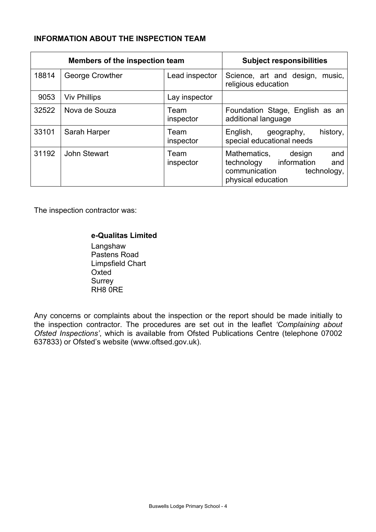# **INFORMATION ABOUT THE INSPECTION TEAM**

| <b>Members of the inspection team</b> |                     | <b>Subject responsibilities</b> |                                                                                                                         |
|---------------------------------------|---------------------|---------------------------------|-------------------------------------------------------------------------------------------------------------------------|
| 18814                                 | George Crowther     | Lead inspector                  | Science, art and design,<br>music,<br>religious education                                                               |
| 9053                                  | <b>Viv Phillips</b> | Lay inspector                   |                                                                                                                         |
| 32522                                 | Nova de Souza       | Team<br>inspector               | Foundation Stage, English as an<br>additional language                                                                  |
| 33101                                 | Sarah Harper        | Team<br>inspector               | history,<br>English,<br>geography,<br>special educational needs                                                         |
| 31192                                 | John Stewart        | Team<br>inspector               | Mathematics,<br>and<br>design<br>information<br>technology<br>and<br>communication<br>technology,<br>physical education |

The inspection contractor was:

# **e-Qualitas Limited**

 Langshaw Pastens Road Limpsfield Chart **Oxted**  Surrey RH8 0RE

Any concerns or complaints about the inspection or the report should be made initially to the inspection contractor. The procedures are set out in the leaflet *'Complaining about Ofsted Inspections'*, which is available from Ofsted Publications Centre (telephone 07002 637833) or Ofsted's website (www.oftsed.gov.uk).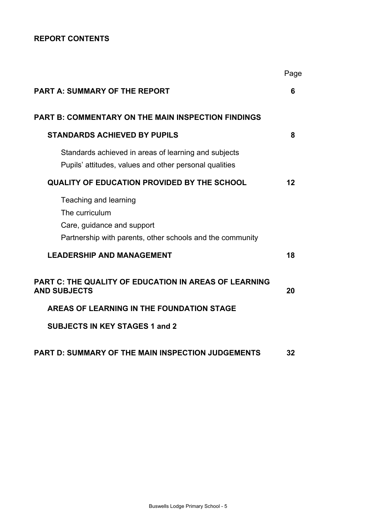# **REPORT CONTENTS**

|                                                                                                                                    | Page |
|------------------------------------------------------------------------------------------------------------------------------------|------|
| <b>PART A: SUMMARY OF THE REPORT</b>                                                                                               | 6    |
| <b>PART B: COMMENTARY ON THE MAIN INSPECTION FINDINGS</b>                                                                          |      |
| <b>STANDARDS ACHIEVED BY PUPILS</b>                                                                                                | 8    |
| Standards achieved in areas of learning and subjects<br>Pupils' attitudes, values and other personal qualities                     |      |
| <b>QUALITY OF EDUCATION PROVIDED BY THE SCHOOL</b>                                                                                 | 12   |
| Teaching and learning<br>The curriculum<br>Care, guidance and support<br>Partnership with parents, other schools and the community |      |
| <b>LEADERSHIP AND MANAGEMENT</b>                                                                                                   | 18   |
| PART C: THE QUALITY OF EDUCATION IN AREAS OF LEARNING<br><b>AND SUBJECTS</b>                                                       | 20   |
| AREAS OF LEARNING IN THE FOUNDATION STAGE                                                                                          |      |
| <b>SUBJECTS IN KEY STAGES 1 and 2</b>                                                                                              |      |
| <b>PART D: SUMMARY OF THE MAIN INSPECTION JUDGEMENTS</b>                                                                           | 32   |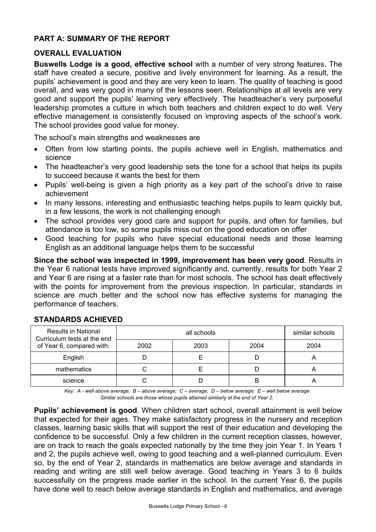# **PART A: SUMMARY OF THE REPORT**

# **OVERALL EVALUATION**

**Buswells Lodge is a good, effective school** with a number of very strong features. The staff have created a secure, positive and lively environment for learning. As a result, the pupils' achievement is good and they are very keen to learn. The quality of teaching is good overall, and was very good in many of the lessons seen. Relationships at all levels are very good and support the pupils' learning very effectively. The headteacher's very purposeful leadership promotes a culture in which both teachers and children expect to do well. Very effective management is consistently focused on improving aspects of the school's work. The school provides good value for money.

The school's main strengths and weaknesses are

- Often from low starting points, the pupils achieve well in English, mathematics and science
- The headteacher's very good leadership sets the tone for a school that helps its pupils to succeed because it wants the best for them
- Pupils' well-being is given a high priority as a key part of the school's drive to raise achievement
- In many lessons, interesting and enthusiastic teaching helps pupils to learn quickly but, in a few lessons, the work is not challenging enough
- The school provides very good care and support for pupils, and often for families, but attendance is too low, so some pupils miss out on the good education on offer
- Good teaching for pupils who have special educational needs and those learning English as an additional language helps them to be successful

**Since the school was inspected in 1999, improvement has been very good**. Results in the Year 6 national tests have improved significantly and, currently, results for both Year 2 and Year 6 are rising at a faster rate than for most schools. The school has dealt effectively with the points for improvement from the previous inspection. In particular, standards in science are much better and the school now has effective systems for managing the performance of teachers.

| <b>Results in National</b><br>Curriculum tests at the end |      | similar schools |      |      |
|-----------------------------------------------------------|------|-----------------|------|------|
| of Year 6, compared with:                                 | 2002 | 2003            | 2004 | 2004 |
| English                                                   |      |                 |      |      |
| mathematics                                               |      |                 |      |      |
| science                                                   |      |                 |      |      |

# **STANDARDS ACHIEVED**

*Key: A - well above average; B – above average; C – average; D – below average; E – well below average Similar schools are those whose pupils attained similarly at the end of Year 2.* 

**Pupils' achievement is good**. When children start school, overall attainment is well below that expected for their ages. They make satisfactory progress in the nursery and reception classes, learning basic skills that will support the rest of their education and developing the confidence to be successful. Only a few children in the current reception classes, however, are on track to reach the goals expected nationally by the time they join Year 1. In Years 1 and 2, the pupils achieve well, owing to good teaching and a well-planned curriculum. Even so, by the end of Year 2, standards in mathematics are below average and standards in reading and writing are still well below average. Good teaching in Years 3 to 6 builds successfully on the progress made earlier in the school. In the current Year 6, the pupils have done well to reach below average standards in English and mathematics, and average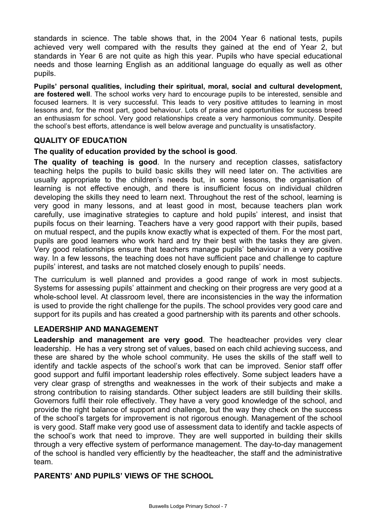standards in science. The table shows that, in the 2004 Year 6 national tests, pupils achieved very well compared with the results they gained at the end of Year 2, but standards in Year 6 are not quite as high this year. Pupils who have special educational needs and those learning English as an additional language do equally as well as other pupils.

**Pupils' personal qualities, including their spiritual, moral, social and cultural development, are fostered well**. The school works very hard to encourage pupils to be interested, sensible and focused learners. It is very successful. This leads to very positive attitudes to learning in most lessons and, for the most part, good behaviour. Lots of praise and opportunities for success breed an enthusiasm for school. Very good relationships create a very harmonious community. Despite the school's best efforts, attendance is well below average and punctuality is unsatisfactory.

# **QUALITY OF EDUCATION**

# **The quality of education provided by the school is good**.

**The quality of teaching is good**. In the nursery and reception classes, satisfactory teaching helps the pupils to build basic skills they will need later on. The activities are usually appropriate to the children's needs but, in some lessons, the organisation of learning is not effective enough, and there is insufficient focus on individual children developing the skills they need to learn next. Throughout the rest of the school, learning is very good in many lessons, and at least good in most, because teachers plan work carefully, use imaginative strategies to capture and hold pupils' interest, and insist that pupils focus on their learning. Teachers have a very good rapport with their pupils, based on mutual respect, and the pupils know exactly what is expected of them. For the most part, pupils are good learners who work hard and try their best with the tasks they are given. Very good relationships ensure that teachers manage pupils' behaviour in a very positive way. In a few lessons, the teaching does not have sufficient pace and challenge to capture pupils' interest, and tasks are not matched closely enough to pupils' needs.

The curriculum is well planned and provides a good range of work in most subjects. Systems for assessing pupils' attainment and checking on their progress are very good at a whole-school level. At classroom level, there are inconsistencies in the way the information is used to provide the right challenge for the pupils. The school provides very good care and support for its pupils and has created a good partnership with its parents and other schools.

# **LEADERSHIP AND MANAGEMENT**

**Leadership and management are very good**. The headteacher provides very clear leadership. He has a very strong set of values, based on each child achieving success, and these are shared by the whole school community. He uses the skills of the staff well to identify and tackle aspects of the school's work that can be improved. Senior staff offer good support and fulfil important leadership roles effectively. Some subject leaders have a very clear grasp of strengths and weaknesses in the work of their subjects and make a strong contribution to raising standards. Other subject leaders are still building their skills. Governors fulfil their role effectively. They have a very good knowledge of the school, and provide the right balance of support and challenge, but the way they check on the success of the school's targets for improvement is not rigorous enough. Management of the school is very good. Staff make very good use of assessment data to identify and tackle aspects of the school's work that need to improve. They are well supported in building their skills through a very effective system of performance management. The day-to-day management of the school is handled very efficiently by the headteacher, the staff and the administrative team.

# **PARENTS' AND PUPILS' VIEWS OF THE SCHOOL**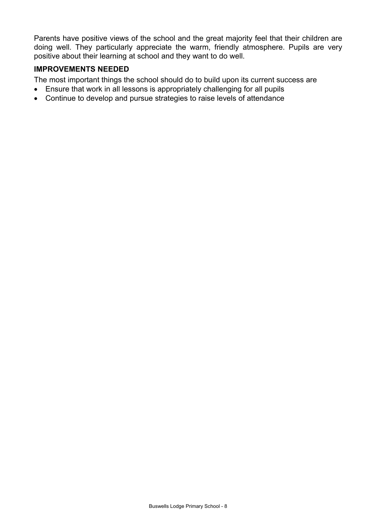Parents have positive views of the school and the great majority feel that their children are doing well. They particularly appreciate the warm, friendly atmosphere. Pupils are very positive about their learning at school and they want to do well.

# **IMPROVEMENTS NEEDED**

The most important things the school should do to build upon its current success are

- Ensure that work in all lessons is appropriately challenging for all pupils
- Continue to develop and pursue strategies to raise levels of attendance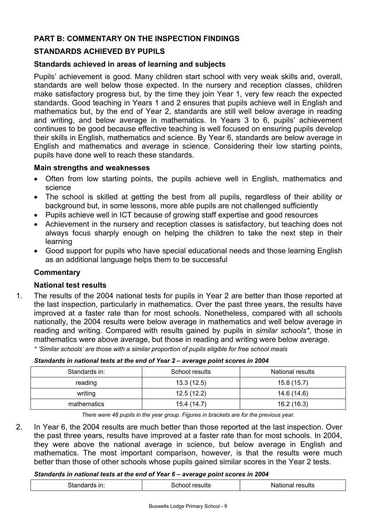# **PART B: COMMENTARY ON THE INSPECTION FINDINGS**

# **STANDARDS ACHIEVED BY PUPILS**

# **Standards achieved in areas of learning and subjects**

Pupils' achievement is good. Many children start school with very weak skills and, overall, standards are well below those expected. In the nursery and reception classes, children make satisfactory progress but, by the time they join Year 1, very few reach the expected standards. Good teaching in Years 1 and 2 ensures that pupils achieve well in English and mathematics but, by the end of Year 2, standards are still well below average in reading and writing, and below average in mathematics. In Years 3 to 6, pupils' achievement continues to be good because effective teaching is well focused on ensuring pupils develop their skills in English, mathematics and science. By Year 6, standards are below average in English and mathematics and average in science. Considering their low starting points, pupils have done well to reach these standards.

# **Main strengths and weaknesses**

- Often from low starting points, the pupils achieve well in English, mathematics and science
- The school is skilled at getting the best from all pupils, regardless of their ability or background but, in some lessons, more able pupils are not challenged sufficiently
- Pupils achieve well in ICT because of growing staff expertise and good resources
- Achievement in the nursery and reception classes is satisfactory, but teaching does not always focus sharply enough on helping the children to take the next step in their learning
- Good support for pupils who have special educational needs and those learning English as an additional language helps them to be successful

# **Commentary**

# **National test results**

1. The results of the 2004 national tests for pupils in Year 2 are better than those reported at the last inspection, particularly in mathematics. Over the past three years, the results have improved at a faster rate than for most schools. Nonetheless, compared with all schools nationally, the 2004 results were below average in mathematics and well below average in reading and writing. Compared with results gained by pupils in *similar schools\**, those in mathematics were above average, but those in reading and writing were below average.

*\* 'Similar schools' are those with a similar proportion of pupils eligible for free school meals* 

| Standards in: | School results | National results |
|---------------|----------------|------------------|
| reading       | 13.3(12.5)     | 15.8(15.7)       |
| writing       | 12.5 (12.2)    | 14.6 (14.6)      |
| mathematics   | 15.4 (14.7)    | 16.2 (16.3)      |

*Standards in national tests at the end of Year 2 – average point scores in 2004*

*There were 48 pupils in the year group. Figures in brackets are for the previous year.* 

2. In Year 6, the 2004 results are much better than those reported at the last inspection. Over the past three years, results have improved at a faster rate than for most schools. In 2004, they were above the national average in science, but below average in English and mathematics. The most important comparison, however, is that the results were much better than those of other schools whose pupils gained similar scores in the Year 2 tests.

#### *Standards in national tests at the end of Year 6 – average point scores in 2004*

| $\sim$<br>≅esults<br>results<br>۱Ш.<br>110 11 1 <i>c</i><br>.<br>_ _ _ _ _ _ _<br>.<br>.<br>- - - - - |
|-------------------------------------------------------------------------------------------------------|
|-------------------------------------------------------------------------------------------------------|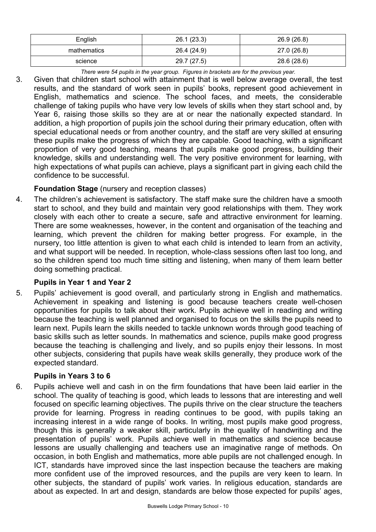| English     | 26.1(23.3)  | 26.9 (26.8) |  |
|-------------|-------------|-------------|--|
| mathematics | 26.4 (24.9) | 27.0 (26.8) |  |
| science     | 29.7 (27.5) | 28.6 (28.6) |  |

*There were 54 pupils in the year group. Figures in brackets are for the previous year.* 

3. Given that children start school with attainment that is well below average overall, the test results, and the standard of work seen in pupils' books, represent good achievement in English, mathematics and science. The school faces, and meets, the considerable challenge of taking pupils who have very low levels of skills when they start school and, by Year 6, raising those skills so they are at or near the nationally expected standard. In addition, a high proportion of pupils join the school during their primary education, often with special educational needs or from another country, and the staff are very skilled at ensuring these pupils make the progress of which they are capable. Good teaching, with a significant proportion of very good teaching, means that pupils make good progress, building their knowledge, skills and understanding well. The very positive environment for learning, with high expectations of what pupils can achieve, plays a significant part in giving each child the confidence to be successful.

# **Foundation Stage** (nursery and reception classes)

4. The children's achievement is satisfactory. The staff make sure the children have a smooth start to school, and they build and maintain very good relationships with them. They work closely with each other to create a secure, safe and attractive environment for learning. There are some weaknesses, however, in the content and organisation of the teaching and learning, which prevent the children for making better progress. For example, in the nursery, too little attention is given to what each child is intended to learn from an activity, and what support will be needed. In reception, whole-class sessions often last too long, and so the children spend too much time sitting and listening, when many of them learn better doing something practical.

# **Pupils in Year 1 and Year 2**

5. Pupils' achievement is good overall, and particularly strong in English and mathematics. Achievement in speaking and listening is good because teachers create well-chosen opportunities for pupils to talk about their work. Pupils achieve well in reading and writing because the teaching is well planned and organised to focus on the skills the pupils need to learn next. Pupils learn the skills needed to tackle unknown words through good teaching of basic skills such as letter sounds. In mathematics and science, pupils make good progress because the teaching is challenging and lively, and so pupils enjoy their lessons. In most other subjects, considering that pupils have weak skills generally, they produce work of the expected standard.

# **Pupils in Years 3 to 6**

6. Pupils achieve well and cash in on the firm foundations that have been laid earlier in the school. The quality of teaching is good, which leads to lessons that are interesting and well focused on specific learning objectives. The pupils thrive on the clear structure the teachers provide for learning. Progress in reading continues to be good, with pupils taking an increasing interest in a wide range of books. In writing, most pupils make good progress, though this is generally a weaker skill, particularly in the quality of handwriting and the presentation of pupils' work. Pupils achieve well in mathematics and science because lessons are usually challenging and teachers use an imaginative range of methods. On occasion, in both English and mathematics, more able pupils are not challenged enough. In ICT, standards have improved since the last inspection because the teachers are making more confident use of the improved resources, and the pupils are very keen to learn. In other subjects, the standard of pupils' work varies. In religious education, standards are about as expected. In art and design, standards are below those expected for pupils' ages,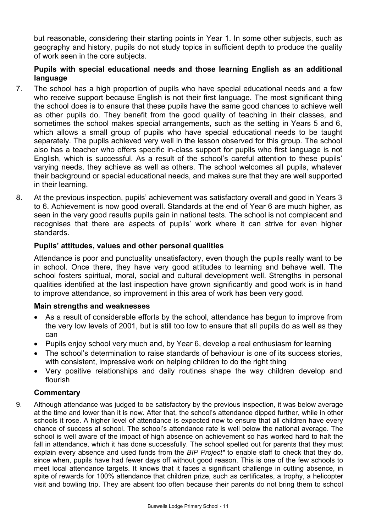but reasonable, considering their starting points in Year 1. In some other subjects, such as geography and history, pupils do not study topics in sufficient depth to produce the quality of work seen in the core subjects.

# **Pupils with special educational needs and those learning English as an additional language**

- 7. The school has a high proportion of pupils who have special educational needs and a few who receive support because English is not their first language. The most significant thing the school does is to ensure that these pupils have the same good chances to achieve well as other pupils do. They benefit from the good quality of teaching in their classes, and sometimes the school makes special arrangements, such as the setting in Years 5 and 6, which allows a small group of pupils who have special educational needs to be taught separately. The pupils achieved very well in the lesson observed for this group. The school also has a teacher who offers specific in-class support for pupils who first language is not English, which is successful. As a result of the school's careful attention to these pupils' varying needs, they achieve as well as others. The school welcomes all pupils, whatever their background or special educational needs, and makes sure that they are well supported in their learning.
- 8. At the previous inspection, pupils' achievement was satisfactory overall and good in Years 3 to 6. Achievement is now good overall. Standards at the end of Year 6 are much higher, as seen in the very good results pupils gain in national tests. The school is not complacent and recognises that there are aspects of pupils' work where it can strive for even higher standards.

# **Pupils' attitudes, values and other personal qualities**

Attendance is poor and punctuality unsatisfactory, even though the pupils really want to be in school. Once there, they have very good attitudes to learning and behave well. The school fosters spiritual, moral, social and cultural development well. Strengths in personal qualities identified at the last inspection have grown significantly and good work is in hand to improve attendance, so improvement in this area of work has been very good.

# **Main strengths and weaknesses**

- As a result of considerable efforts by the school, attendance has begun to improve from the very low levels of 2001, but is still too low to ensure that all pupils do as well as they can
- Pupils enjoy school very much and, by Year 6, develop a real enthusiasm for learning
- The school's determination to raise standards of behaviour is one of its success stories, with consistent, impressive work on helping children to do the right thing
- Very positive relationships and daily routines shape the way children develop and flourish

# **Commentary**

9. Although attendance was judged to be satisfactory by the previous inspection, it was below average at the time and lower than it is now. After that, the school's attendance dipped further, while in other schools it rose. A higher level of attendance is expected now to ensure that all children have every chance of success at school. The school's attendance rate is well below the national average. The school is well aware of the impact of high absence on achievement so has worked hard to halt the fall in attendance, which it has done successfully. The school spelled out for parents that they must explain every absence and used funds from the *BIP Project\** to enable staff to check that they do, since when, pupils have had fewer days off without good reason. This is one of the few schools to meet local attendance targets. It knows that it faces a significant challenge in cutting absence, in spite of rewards for 100% attendance that children prize, such as certificates, a trophy, a helicopter visit and bowling trip. They are absent too often because their parents do not bring them to school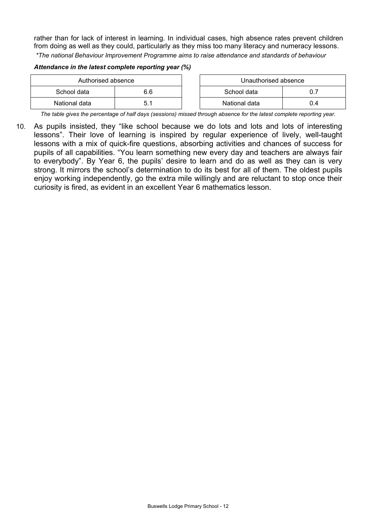rather than for lack of interest in learning. In individual cases, high absence rates prevent children from doing as well as they could, particularly as they miss too many literacy and numeracy lessons. *\*The national Behaviour Improvement Programme aims to raise attendance and standards of behaviour* 

#### *Attendance in the latest complete reporting year (%)*

| Authorised absence |   | Unauthorised absence |     |
|--------------------|---|----------------------|-----|
| School data<br>6.6 |   | School data          |     |
| National data      | h | National data        | J.4 |

*The table gives the percentage of half days (sessions) missed through absence for the latest complete reporting year.*

10. As pupils insisted, they "like school because we do lots and lots and lots of interesting lessons". Their love of learning is inspired by regular experience of lively, well-taught lessons with a mix of quick-fire questions, absorbing activities and chances of success for pupils of all capabilities. "You learn something new every day and teachers are always fair to everybody". By Year 6, the pupils' desire to learn and do as well as they can is very strong. It mirrors the school's determination to do its best for all of them. The oldest pupils enjoy working independently, go the extra mile willingly and are reluctant to stop once their curiosity is fired, as evident in an excellent Year 6 mathematics lesson.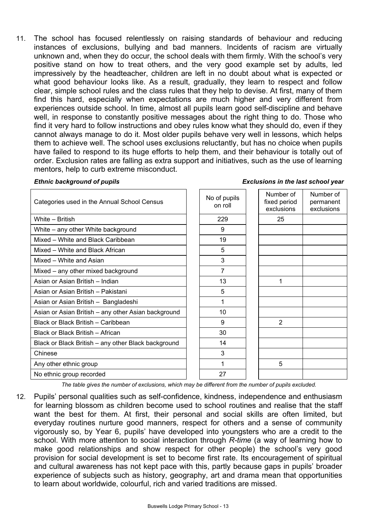11. The school has focused relentlessly on raising standards of behaviour and reducing instances of exclusions, bullying and bad manners. Incidents of racism are virtually unknown and, when they do occur, the school deals with them firmly. With the school's very positive stand on how to treat others, and the very good example set by adults, led impressively by the headteacher, children are left in no doubt about what is expected or what good behaviour looks like. As a result, gradually, they learn to respect and follow clear, simple school rules and the class rules that they help to devise. At first, many of them find this hard, especially when expectations are much higher and very different from experiences outside school. In time, almost all pupils learn good self-discipline and behave well, in response to constantly positive messages about the right thing to do. Those who find it very hard to follow instructions and obey rules know what they should do, even if they cannot always manage to do it. Most older pupils behave very well in lessons, which helps them to achieve well. The school uses exclusions reluctantly, but has no choice when pupils have failed to respond to its huge efforts to help them, and their behaviour is totally out of order. Exclusion rates are falling as extra support and initiatives, such as the use of learning mentors, help to curb extreme misconduct.

#### *Ethnic background of pupils*

| <b>Exclusions in the last school year</b> |  |  |
|-------------------------------------------|--|--|
|                                           |  |  |

| Categories used in the Annual School Census         | No of pupils<br>on roll | Number of<br>fixed period<br>exclusions | Number of<br>permanent<br>exclusions |
|-----------------------------------------------------|-------------------------|-----------------------------------------|--------------------------------------|
| White - British                                     | 229                     | 25                                      |                                      |
| White - any other White background                  | 9                       |                                         |                                      |
| Mixed - White and Black Caribbean                   | 19                      |                                         |                                      |
| Mixed - White and Black African                     | 5                       |                                         |                                      |
| Mixed - White and Asian                             | 3                       |                                         |                                      |
| Mixed - any other mixed background                  | 7                       |                                         |                                      |
| Asian or Asian British - Indian                     | 13                      | 1                                       |                                      |
| Asian or Asian British - Pakistani                  | 5                       |                                         |                                      |
| Asian or Asian British - Bangladeshi                | 1                       |                                         |                                      |
| Asian or Asian British - any other Asian background | 10                      |                                         |                                      |
| Black or Black British - Caribbean                  | 9                       | $\overline{2}$                          |                                      |
| Black or Black British - African                    | 30                      |                                         |                                      |
| Black or Black British - any other Black background | 14                      |                                         |                                      |
| Chinese                                             | 3                       |                                         |                                      |
| Any other ethnic group                              | 1                       | 5                                       |                                      |
| No ethnic group recorded                            | 27                      |                                         |                                      |
| $\cdots$                                            |                         |                                         |                                      |

*The table gives the number of exclusions, which may be different from the number of pupils excluded.*

12. Pupils' personal qualities such as self-confidence, kindness, independence and enthusiasm for learning blossom as children become used to school routines and realise that the staff want the best for them. At first, their personal and social skills are often limited, but everyday routines nurture good manners, respect for others and a sense of community vigorously so, by Year 6, pupils' have developed into youngsters who are a credit to the school. With more attention to social interaction through *R-time* (a way of learning how to make good relationships and show respect for other people) the school's very good provision for social development is set to become first rate. Its encouragement of spiritual and cultural awareness has not kept pace with this, partly because gaps in pupils' broader experience of subjects such as history, geography, art and drama mean that opportunities to learn about worldwide, colourful, rich and varied traditions are missed.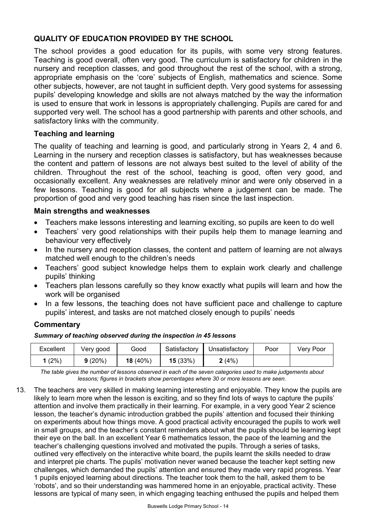# **QUALITY OF EDUCATION PROVIDED BY THE SCHOOL**

The school provides a good education for its pupils, with some very strong features. Teaching is good overall, often very good. The curriculum is satisfactory for children in the nursery and reception classes, and good throughout the rest of the school, with a strong, appropriate emphasis on the 'core' subjects of English, mathematics and science. Some other subjects, however, are not taught in sufficient depth. Very good systems for assessing pupils' developing knowledge and skills are not always matched by the way the information is used to ensure that work in lessons is appropriately challenging. Pupils are cared for and supported very well. The school has a good partnership with parents and other schools, and satisfactory links with the community.

# **Teaching and learning**

The quality of teaching and learning is good, and particularly strong in Years 2, 4 and 6. Learning in the nursery and reception classes is satisfactory, but has weaknesses because the content and pattern of lessons are not always best suited to the level of ability of the children. Throughout the rest of the school, teaching is good, often very good, and occasionally excellent. Any weaknesses are relatively minor and were only observed in a few lessons. Teaching is good for all subjects where a judgement can be made. The proportion of good and very good teaching has risen since the last inspection.

# **Main strengths and weaknesses**

- Teachers make lessons interesting and learning exciting, so pupils are keen to do well
- Teachers' very good relationships with their pupils help them to manage learning and behaviour very effectively
- In the nursery and reception classes, the content and pattern of learning are not always matched well enough to the children's needs
- Teachers' good subject knowledge helps them to explain work clearly and challenge pupils' thinking
- Teachers plan lessons carefully so they know exactly what pupils will learn and how the work will be organised
- In a few lessons, the teaching does not have sufficient pace and challenge to capture pupils' interest, and tasks are not matched closely enough to pupils' needs

# **Commentary**

*Summary of teaching observed during the inspection in 45 lessons*

| Excellent | Very good | Good       | Satisfactory | Unsatisfactory | Poor | Very Poor |
|-----------|-----------|------------|--------------|----------------|------|-----------|
| (2%)      | 9(20%)    | $18(40\%)$ | 15(33%)      | 2(4%)          |      |           |

*The table gives the number of lessons observed in each of the seven categories used to make judgements about lessons; figures in brackets show percentages where 30 or more lessons are seen.* 

13. The teachers are very skilled in making learning interesting and enjoyable. They know the pupils are likely to learn more when the lesson is exciting, and so they find lots of ways to capture the pupils' attention and involve them practically in their learning. For example, in a very good Year 2 science lesson, the teacher's dynamic introduction grabbed the pupils' attention and focused their thinking on experiments about how things move. A good practical activity encouraged the pupils to work well in small groups, and the teacher's constant reminders about what the pupils should be learning kept their eye on the ball. In an excellent Year 6 mathematics lesson, the pace of the learning and the teacher's challenging questions involved and motivated the pupils. Through a series of tasks, outlined very effectively on the interactive white board, the pupils learnt the skills needed to draw and interpret pie charts. The pupils' motivation never waned because the teacher kept setting new challenges, which demanded the pupils' attention and ensured they made very rapid progress. Year 1 pupils enjoyed learning about directions. The teacher took them to the hall, asked them to be 'robots', and so their understanding was hammered home in an enjoyable, practical activity. These lessons are typical of many seen, in which engaging teaching enthused the pupils and helped them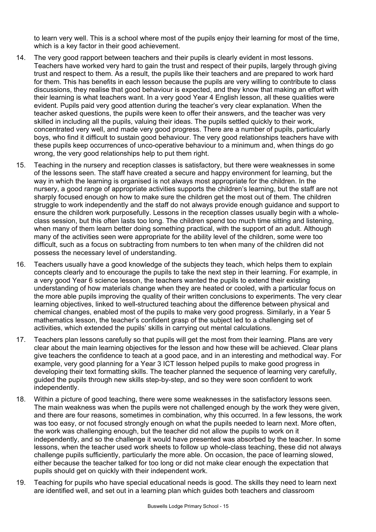to learn very well. This is a school where most of the pupils enjoy their learning for most of the time, which is a key factor in their good achievement.

- 14. The very good rapport between teachers and their pupils is clearly evident in most lessons. Teachers have worked very hard to gain the trust and respect of their pupils, largely through giving trust and respect to them. As a result, the pupils like their teachers and are prepared to work hard for them. This has benefits in each lesson because the pupils are very willing to contribute to class discussions, they realise that good behaviour is expected, and they know that making an effort with their learning is what teachers want. In a very good Year 4 English lesson, all these qualities were evident. Pupils paid very good attention during the teacher's very clear explanation. When the teacher asked questions, the pupils were keen to offer their answers, and the teacher was very skilled in including all the pupils, valuing their ideas. The pupils settled quickly to their work, concentrated very well, and made very good progress. There are a number of pupils, particularly boys, who find it difficult to sustain good behaviour. The very good relationships teachers have with these pupils keep occurrences of unco-operative behaviour to a minimum and, when things do go wrong, the very good relationships help to put them right.
- 15. Teaching in the nursery and reception classes is satisfactory, but there were weaknesses in some of the lessons seen. The staff have created a secure and happy environment for learning, but the way in which the learning is organised is not always most appropriate for the children. In the nursery, a good range of appropriate activities supports the children's learning, but the staff are not sharply focused enough on how to make sure the children get the most out of them. The children struggle to work independently and the staff do not always provide enough guidance and support to ensure the children work purposefully. Lessons in the reception classes usually begin with a wholeclass session, but this often lasts too long. The children spend too much time sitting and listening, when many of them learn better doing something practical, with the support of an adult. Although many of the activities seen were appropriate for the ability level of the children, some were too difficult, such as a focus on subtracting from numbers to ten when many of the children did not possess the necessary level of understanding.
- 16. Teachers usually have a good knowledge of the subjects they teach, which helps them to explain concepts clearly and to encourage the pupils to take the next step in their learning. For example, in a very good Year 6 science lesson, the teachers wanted the pupils to extend their existing understanding of how materials change when they are heated or cooled, with a particular focus on the more able pupils improving the quality of their written conclusions to experiments. The very clear learning objectives, linked to well-structured teaching about the difference between physical and chemical changes, enabled most of the pupils to make very good progress. Similarly, in a Year 5 mathematics lesson, the teacher's confident grasp of the subject led to a challenging set of activities, which extended the pupils' skills in carrying out mental calculations.
- 17. Teachers plan lessons carefully so that pupils will get the most from their learning. Plans are very clear about the main learning objectives for the lesson and how these will be achieved. Clear plans give teachers the confidence to teach at a good pace, and in an interesting and methodical way. For example, very good planning for a Year 3 ICT lesson helped pupils to make good progress in developing their text formatting skills. The teacher planned the sequence of learning very carefully, guided the pupils through new skills step-by-step, and so they were soon confident to work independently.
- 18. Within a picture of good teaching, there were some weaknesses in the satisfactory lessons seen. The main weakness was when the pupils were not challenged enough by the work they were given, and there are four reasons, sometimes in combination, why this occurred. In a few lessons, the work was too easy, or not focused strongly enough on what the pupils needed to learn next. More often, the work was challenging enough, but the teacher did not allow the pupils to work on it independently, and so the challenge it would have presented was absorbed by the teacher. In some lessons, when the teacher used work sheets to follow up whole-class teaching, these did not always challenge pupils sufficiently, particularly the more able. On occasion, the pace of learning slowed, either because the teacher talked for too long or did not make clear enough the expectation that pupils should get on quickly with their independent work.
- 19. Teaching for pupils who have special educational needs is good. The skills they need to learn next are identified well, and set out in a learning plan which guides both teachers and classroom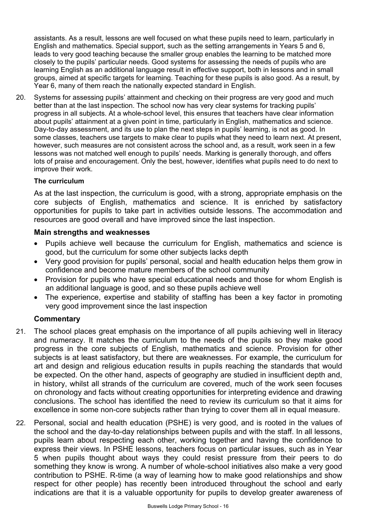assistants. As a result, lessons are well focused on what these pupils need to learn, particularly in English and mathematics. Special support, such as the setting arrangements in Years 5 and 6, leads to very good teaching because the smaller group enables the learning to be matched more closely to the pupils' particular needs. Good systems for assessing the needs of pupils who are learning English as an additional language result in effective support, both in lessons and in small groups, aimed at specific targets for learning. Teaching for these pupils is also good. As a result, by Year 6, many of them reach the nationally expected standard in English.

20. Systems for assessing pupils' attainment and checking on their progress are very good and much better than at the last inspection. The school now has very clear systems for tracking pupils' progress in all subjects. At a whole-school level, this ensures that teachers have clear information about pupils' attainment at a given point in time, particularly in English, mathematics and science. Day-to-day assessment, and its use to plan the next steps in pupils' learning, is not as good. In some classes, teachers use targets to make clear to pupils what they need to learn next. At present, however, such measures are not consistent across the school and, as a result, work seen in a few lessons was not matched well enough to pupils' needs. Marking is generally thorough, and offers lots of praise and encouragement. Only the best, however, identifies what pupils need to do next to improve their work.

# **The curriculum**

As at the last inspection, the curriculum is good, with a strong, appropriate emphasis on the core subjects of English, mathematics and science. It is enriched by satisfactory opportunities for pupils to take part in activities outside lessons. The accommodation and resources are good overall and have improved since the last inspection.

#### **Main strengths and weaknesses**

- Pupils achieve well because the curriculum for English, mathematics and science is good, but the curriculum for some other subjects lacks depth
- Very good provision for pupils' personal, social and health education helps them grow in confidence and become mature members of the school community
- Provision for pupils who have special educational needs and those for whom English is an additional language is good, and so these pupils achieve well
- The experience, expertise and stability of staffing has been a key factor in promoting very good improvement since the last inspection

- 21. The school places great emphasis on the importance of all pupils achieving well in literacy and numeracy. It matches the curriculum to the needs of the pupils so they make good progress in the core subjects of English, mathematics and science. Provision for other subjects is at least satisfactory, but there are weaknesses. For example, the curriculum for art and design and religious education results in pupils reaching the standards that would be expected. On the other hand, aspects of geography are studied in insufficient depth and, in history, whilst all strands of the curriculum are covered, much of the work seen focuses on chronology and facts without creating opportunities for interpreting evidence and drawing conclusions. The school has identified the need to review its curriculum so that it aims for excellence in some non-core subjects rather than trying to cover them all in equal measure.
- 22. Personal, social and health education (PSHE) is very good, and is rooted in the values of the school and the day-to-day relationships between pupils and with the staff. In all lessons, pupils learn about respecting each other, working together and having the confidence to express their views. In PSHE lessons, teachers focus on particular issues, such as in Year 5 when pupils thought about ways they could resist pressure from their peers to do something they know is wrong. A number of whole-school initiatives also make a very good contribution to PSHE. R-time (a way of learning how to make good relationships and show respect for other people) has recently been introduced throughout the school and early indications are that it is a valuable opportunity for pupils to develop greater awareness of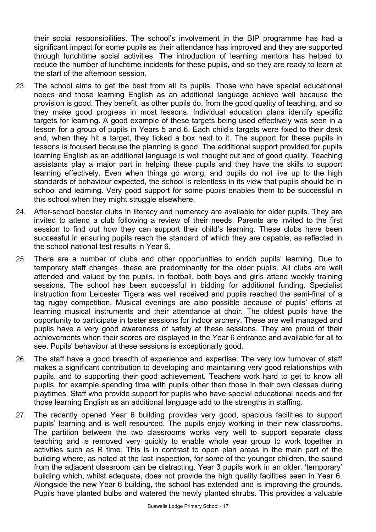their social responsibilities. The school's involvement in the BIP programme has had a significant impact for some pupils as their attendance has improved and they are supported through lunchtime social activities. The introduction of learning mentors has helped to reduce the number of lunchtime incidents for these pupils, and so they are ready to learn at the start of the afternoon session.

- 23. The school aims to get the best from all its pupils. Those who have special educational needs and those learning English as an additional language achieve well because the provision is good. They benefit, as other pupils do, from the good quality of teaching, and so they make good progress in most lessons. Individual education plans identify specific targets for learning. A good example of these targets being used effectively was seen in a lesson for a group of pupils in Years 5 and 6. Each child's targets were fixed to their desk and, when they hit a target, they ticked a box next to it. The support for these pupils in lessons is focused because the planning is good. The additional support provided for pupils learning English as an additional language is well thought out and of good quality. Teaching assistants play a major part in helping these pupils and they have the skills to support learning effectively. Even when things go wrong, and pupils do not live up to the high standards of behaviour expected, the school is relentless in its view that pupils should be in school and learning. Very good support for some pupils enables them to be successful in this school when they might struggle elsewhere.
- 24. After-school booster clubs in literacy and numeracy are available for older pupils. They are invited to attend a club following a review of their needs. Parents are invited to the first session to find out how they can support their child's learning. These clubs have been successful in ensuring pupils reach the standard of which they are capable, as reflected in the school national test results in Year 6.
- 25. There are a number of clubs and other opportunities to enrich pupils' learning. Due to temporary staff changes, these are predominantly for the older pupils. All clubs are well attended and valued by the pupils. In football, both boys and girls attend weekly training sessions. The school has been successful in bidding for additional funding. Specialist instruction from Leicester Tigers was well received and pupils reached the semi-final of a tag rugby competition. Musical evenings are also possible because of pupils' efforts at learning musical instruments and their attendance at choir. The oldest pupils have the opportunity to participate in taster sessions for indoor archery. These are well managed and pupils have a very good awareness of safety at these sessions. They are proud of their achievements when their scores are displayed in the Year 6 entrance and available for all to see. Pupils' behaviour at these sessions is exceptionally good.
- 26. The staff have a good breadth of experience and expertise. The very low turnover of staff makes a significant contribution to developing and maintaining very good relationships with pupils, and to supporting their good achievement. Teachers work hard to get to know all pupils, for example spending time with pupils other than those in their own classes during playtimes. Staff who provide support for pupils who have special educational needs and for those learning English as an additional language add to the strengths in staffing.
- 27. The recently opened Year 6 building provides very good, spacious facilities to support pupils' learning and is well resourced. The pupils enjoy working in their new classrooms. The partition between the two classrooms works very well to support separate class teaching and is removed very quickly to enable whole year group to work together in activities such as R time. This is in contrast to open plan areas in the main part of the building where, as noted at the last inspection, for some of the younger children, the sound from the adjacent classroom can be distracting. Year 3 pupils work in an older, 'temporary' building which, whilst adequate, does not provide the high quality facilities seen in Year 6. Alongside the new Year 6 building, the school has extended and is improving the grounds. Pupils have planted bulbs and watered the newly planted shrubs. This provides a valuable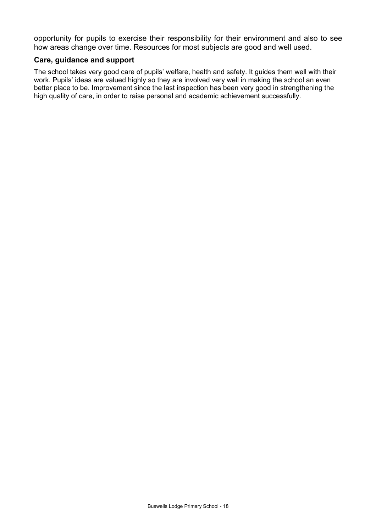opportunity for pupils to exercise their responsibility for their environment and also to see how areas change over time. Resources for most subjects are good and well used.

#### **Care, guidance and support**

The school takes very good care of pupils' welfare, health and safety. It guides them well with their work. Pupils' ideas are valued highly so they are involved very well in making the school an even better place to be. Improvement since the last inspection has been very good in strengthening the high quality of care, in order to raise personal and academic achievement successfully.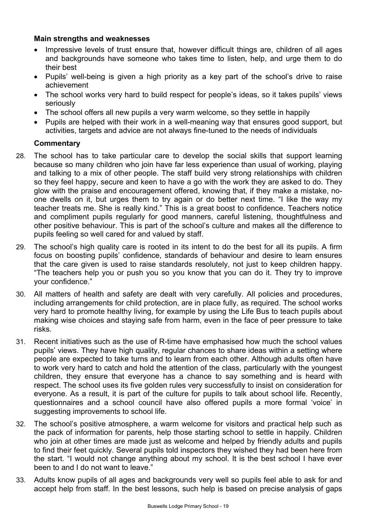# **Main strengths and weaknesses**

- Impressive levels of trust ensure that, however difficult things are, children of all ages and backgrounds have someone who takes time to listen, help, and urge them to do their best
- Pupils' well-being is given a high priority as a key part of the school's drive to raise achievement
- The school works very hard to build respect for people's ideas, so it takes pupils' views seriously
- The school offers all new pupils a very warm welcome, so they settle in happily
- Pupils are helped with their work in a well-meaning way that ensures good support, but activities, targets and advice are not always fine-tuned to the needs of individuals

- 28. The school has to take particular care to develop the social skills that support learning because so many children who join have far less experience than usual of working, playing and talking to a mix of other people. The staff build very strong relationships with children so they feel happy, secure and keen to have a go with the work they are asked to do. They glow with the praise and encouragement offered, knowing that, if they make a mistake, noone dwells on it, but urges them to try again or do better next time. "I like the way my teacher treats me. She is really kind." This is a great boost to confidence. Teachers notice and compliment pupils regularly for good manners, careful listening, thoughtfulness and other positive behaviour. This is part of the school's culture and makes all the difference to pupils feeling so well cared for and valued by staff.
- 29. The school's high quality care is rooted in its intent to do the best for all its pupils. A firm focus on boosting pupils' confidence, standards of behaviour and desire to learn ensures that the care given is used to raise standards resolutely, not just to keep children happy. "The teachers help you or push you so you know that you can do it. They try to improve your confidence."
- 30. All matters of health and safety are dealt with very carefully. All policies and procedures, including arrangements for child protection, are in place fully, as required. The school works very hard to promote healthy living, for example by using the Life Bus to teach pupils about making wise choices and staying safe from harm, even in the face of peer pressure to take risks.
- 31. Recent initiatives such as the use of R-time have emphasised how much the school values pupils' views. They have high quality, regular chances to share ideas within a setting where people are expected to take turns and to learn from each other. Although adults often have to work very hard to catch and hold the attention of the class, particularly with the youngest children, they ensure that everyone has a chance to say something and is heard with respect. The school uses its five golden rules very successfully to insist on consideration for everyone. As a result, it is part of the culture for pupils to talk about school life. Recently, questionnaires and a school council have also offered pupils a more formal 'voice' in suggesting improvements to school life.
- 32. The school's positive atmosphere, a warm welcome for visitors and practical help such as the pack of information for parents, help those starting school to settle in happily. Children who join at other times are made just as welcome and helped by friendly adults and pupils to find their feet quickly. Several pupils told inspectors they wished they had been here from the start. "I would not change anything about my school. It is the best school I have ever been to and I do not want to leave."
- 33. Adults know pupils of all ages and backgrounds very well so pupils feel able to ask for and accept help from staff. In the best lessons, such help is based on precise analysis of gaps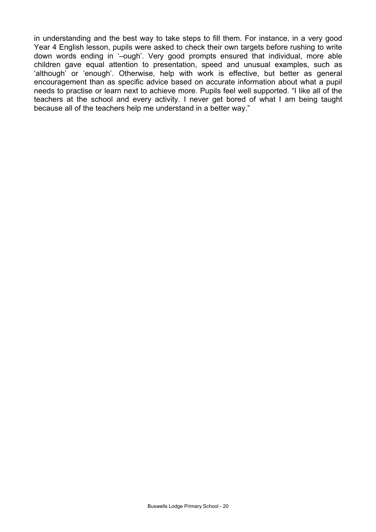in understanding and the best way to take steps to fill them. For instance, in a very good Year 4 English lesson, pupils were asked to check their own targets before rushing to write down words ending in '–ough'. Very good prompts ensured that individual, more able children gave equal attention to presentation, speed and unusual examples, such as 'although' or 'enough'. Otherwise, help with work is effective, but better as general encouragement than as specific advice based on accurate information about what a pupil needs to practise or learn next to achieve more. Pupils feel well supported. "I like all of the teachers at the school and every activity. I never get bored of what I am being taught because all of the teachers help me understand in a better way."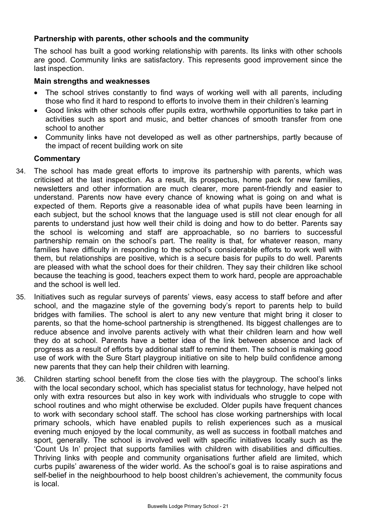# **Partnership with parents, other schools and the community**

The school has built a good working relationship with parents. Its links with other schools are good. Community links are satisfactory. This represents good improvement since the last inspection.

### **Main strengths and weaknesses**

- The school strives constantly to find ways of working well with all parents, including those who find it hard to respond to efforts to involve them in their children's learning
- Good links with other schools offer pupils extra, worthwhile opportunities to take part in activities such as sport and music, and better chances of smooth transfer from one school to another
- Community links have not developed as well as other partnerships, partly because of the impact of recent building work on site

- 34. The school has made great efforts to improve its partnership with parents, which was criticised at the last inspection. As a result, its prospectus, home pack for new families, newsletters and other information are much clearer, more parent-friendly and easier to understand. Parents now have every chance of knowing what is going on and what is expected of them. Reports give a reasonable idea of what pupils have been learning in each subject, but the school knows that the language used is still not clear enough for all parents to understand just how well their child is doing and how to do better. Parents say the school is welcoming and staff are approachable, so no barriers to successful partnership remain on the school's part. The reality is that, for whatever reason, many families have difficulty in responding to the school's considerable efforts to work well with them, but relationships are positive, which is a secure basis for pupils to do well. Parents are pleased with what the school does for their children. They say their children like school because the teaching is good, teachers expect them to work hard, people are approachable and the school is well led.
- 35. Initiatives such as regular surveys of parents' views, easy access to staff before and after school, and the magazine style of the governing body's report to parents help to build bridges with families. The school is alert to any new venture that might bring it closer to parents, so that the home-school partnership is strengthened. Its biggest challenges are to reduce absence and involve parents actively with what their children learn and how well they do at school. Parents have a better idea of the link between absence and lack of progress as a result of efforts by additional staff to remind them. The school is making good use of work with the Sure Start playgroup initiative on site to help build confidence among new parents that they can help their children with learning.
- 36. Children starting school benefit from the close ties with the playgroup. The school's links with the local secondary school, which has specialist status for technology, have helped not only with extra resources but also in key work with individuals who struggle to cope with school routines and who might otherwise be excluded. Older pupils have frequent chances to work with secondary school staff. The school has close working partnerships with local primary schools, which have enabled pupils to relish experiences such as a musical evening much enjoyed by the local community, as well as success in football matches and sport, generally. The school is involved well with specific initiatives locally such as the 'Count Us In' project that supports families with children with disabilities and difficulties. Thriving links with people and community organisations further afield are limited, which curbs pupils' awareness of the wider world. As the school's goal is to raise aspirations and self-belief in the neighbourhood to help boost children's achievement, the community focus is local.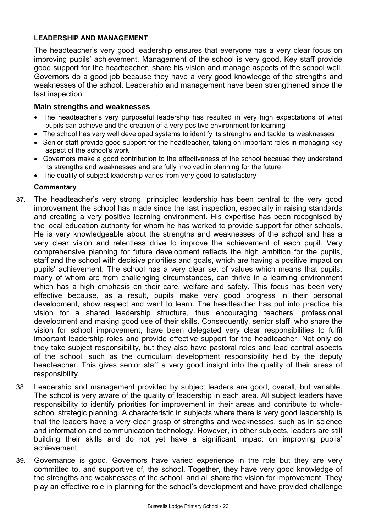# **LEADERSHIP AND MANAGEMENT**

The headteacher's very good leadership ensures that everyone has a very clear focus on improving pupils' achievement. Management of the school is very good. Key staff provide good support for the headteacher, share his vision and manage aspects of the school well. Governors do a good job because they have a very good knowledge of the strengths and weaknesses of the school. Leadership and management have been strengthened since the last inspection.

### **Main strengths and weaknesses**

- The headteacher's very purposeful leadership has resulted in very high expectations of what pupils can achieve and the creation of a very positive environment for learning
- The school has very well developed systems to identify its strengths and tackle its weaknesses
- Senior staff provide good support for the headteacher, taking on important roles in managing key aspect of the school's work
- Governors make a good contribution to the effectiveness of the school because they understand its strengths and weaknesses and are fully involved in planning for the future
- The quality of subject leadership varies from very good to satisfactory

- 37. The headteacher's very strong, principled leadership has been central to the very good improvement the school has made since the last inspection, especially in raising standards and creating a very positive learning environment. His expertise has been recognised by the local education authority for whom he has worked to provide support for other schools. He is very knowledgeable about the strengths and weaknesses of the school and has a very clear vision and relentless drive to improve the achievement of each pupil. Very comprehensive planning for future development reflects the high ambition for the pupils, staff and the school with decisive priorities and goals, which are having a positive impact on pupils' achievement. The school has a very clear set of values which means that pupils, many of whom are from challenging circumstances, can thrive in a learning environment which has a high emphasis on their care, welfare and safety. This focus has been very effective because, as a result, pupils make very good progress in their personal development, show respect and want to learn. The headteacher has put into practice his vision for a shared leadership structure, thus encouraging teachers' professional development and making good use of their skills. Consequently, senior staff, who share the vision for school improvement, have been delegated very clear responsibilities to fulfil important leadership roles and provide effective support for the headteacher. Not only do they take subject responsibility, but they also have pastoral roles and lead central aspects of the school, such as the curriculum development responsibility held by the deputy headteacher. This gives senior staff a very good insight into the quality of their areas of responsibility.
- 38. Leadership and management provided by subject leaders are good, overall, but variable. The school is very aware of the quality of leadership in each area. All subject leaders have responsibility to identify priorities for improvement in their areas and contribute to wholeschool strategic planning. A characteristic in subjects where there is very good leadership is that the leaders have a very clear grasp of strengths and weaknesses, such as in science and information and communication technology. However, in other subjects, leaders are still building their skills and do not yet have a significant impact on improving pupils' achievement.
- 39. Governance is good. Governors have varied experience in the role but they are very committed to, and supportive of, the school. Together, they have very good knowledge of the strengths and weaknesses of the school, and all share the vision for improvement. They play an effective role in planning for the school's development and have provided challenge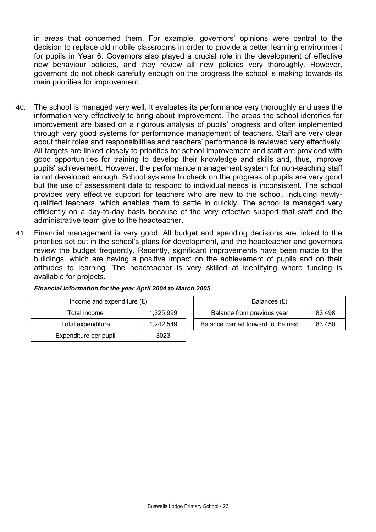in areas that concerned them. For example, governors' opinions were central to the decision to replace old mobile classrooms in order to provide a better learning environment for pupils in Year 6. Governors also played a crucial role in the development of effective new behaviour policies, and they review all new policies very thoroughly. However, governors do not check carefully enough on the progress the school is making towards its main priorities for improvement.

- 40. The school is managed very well. It evaluates its performance very thoroughly and uses the information very effectively to bring about improvement. The areas the school identifies for improvement are based on a rigorous analysis of pupils' progress and often implemented through very good systems for performance management of teachers. Staff are very clear about their roles and responsibilities and teachers' performance is reviewed very effectively. All targets are linked closely to priorities for school improvement and staff are provided with good opportunities for training to develop their knowledge and skills and, thus, improve pupils' achievement. However, the performance management system for non-teaching staff is not developed enough. School systems to check on the progress of pupils are very good but the use of assessment data to respond to individual needs is inconsistent. The school provides very effective support for teachers who are new to the school, including newlyqualified teachers, which enables them to settle in quickly. The school is managed very efficiently on a day-to-day basis because of the very effective support that staff and the administrative team give to the headteacher.
- 41. Financial management is very good. All budget and spending decisions are linked to the priorities set out in the school's plans for development, and the headteacher and governors review the budget frequently. Recently, significant improvements have been made to the buildings, which are having a positive impact on the achievement of pupils and on their attitudes to learning. The headteacher is very skilled at identifying where funding is available for projects.

| Income and expenditure $(E)$ |           | Balances (£)                        |        |
|------------------------------|-----------|-------------------------------------|--------|
| Total income                 | 1.325.999 | Balance from previous year          | 83.498 |
| Total expenditure            | 1.242.549 | Balance carried forward to the next | 83.450 |
| Expenditure per pupil        | 3023      |                                     |        |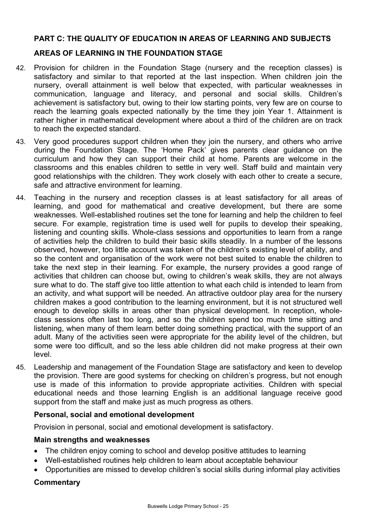# **PART C: THE QUALITY OF EDUCATION IN AREAS OF LEARNING AND SUBJECTS**

# **AREAS OF LEARNING IN THE FOUNDATION STAGE**

- 42. Provision for children in the Foundation Stage (nursery and the reception classes) is satisfactory and similar to that reported at the last inspection. When children join the nursery, overall attainment is well below that expected, with particular weaknesses in communication, language and literacy, and personal and social skills. Children's achievement is satisfactory but, owing to their low starting points, very few are on course to reach the learning goals expected nationally by the time they join Year 1. Attainment is rather higher in mathematical development where about a third of the children are on track to reach the expected standard.
- 43. Very good procedures support children when they join the nursery, and others who arrive during the Foundation Stage. The 'Home Pack' gives parents clear guidance on the curriculum and how they can support their child at home. Parents are welcome in the classrooms and this enables children to settle in very well. Staff build and maintain very good relationships with the children. They work closely with each other to create a secure, safe and attractive environment for learning.
- 44. Teaching in the nursery and reception classes is at least satisfactory for all areas of learning, and good for mathematical and creative development, but there are some weaknesses. Well-established routines set the tone for learning and help the children to feel secure. For example, registration time is used well for pupils to develop their speaking, listening and counting skills. Whole-class sessions and opportunities to learn from a range of activities help the children to build their basic skills steadily. In a number of the lessons observed, however, too little account was taken of the children's existing level of ability, and so the content and organisation of the work were not best suited to enable the children to take the next step in their learning. For example, the nursery provides a good range of activities that children can choose but, owing to children's weak skills, they are not always sure what to do. The staff give too little attention to what each child is intended to learn from an activity, and what support will be needed. An attractive outdoor play area for the nursery children makes a good contribution to the learning environment, but it is not structured well enough to develop skills in areas other than physical development. In reception, wholeclass sessions often last too long, and so the children spend too much time sitting and listening, when many of them learn better doing something practical, with the support of an adult. Many of the activities seen were appropriate for the ability level of the children, but some were too difficult, and so the less able children did not make progress at their own level.
- 45. Leadership and management of the Foundation Stage are satisfactory and keen to develop the provision. There are good systems for checking on children's progress, but not enough use is made of this information to provide appropriate activities. Children with special educational needs and those learning English is an additional language receive good support from the staff and make just as much progress as others.

# **Personal, social and emotional development**

Provision in personal, social and emotional development is satisfactory.

#### **Main strengths and weaknesses**

- The children enjoy coming to school and develop positive attitudes to learning
- Well-established routines help children to learn about acceptable behaviour
- Opportunities are missed to develop children's social skills during informal play activities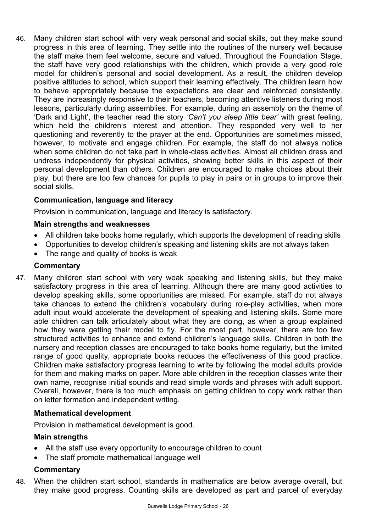46. Many children start school with very weak personal and social skills, but they make sound progress in this area of learning. They settle into the routines of the nursery well because the staff make them feel welcome, secure and valued. Throughout the Foundation Stage, the staff have very good relationships with the children, which provide a very good role model for children's personal and social development. As a result, the children develop positive attitudes to school, which support their learning effectively. The children learn how to behave appropriately because the expectations are clear and reinforced consistently. They are increasingly responsive to their teachers, becoming attentive listeners during most lessons, particularly during assemblies. For example, during an assembly on the theme of 'Dark and Light', the teacher read the story *'Can't you sleep little bear'* with great feeling, which held the children's interest and attention. They responded very well to her questioning and reverently to the prayer at the end. Opportunities are sometimes missed, however, to motivate and engage children. For example, the staff do not always notice when some children do not take part in whole-class activities. Almost all children dress and undress independently for physical activities, showing better skills in this aspect of their personal development than others. Children are encouraged to make choices about their play, but there are too few chances for pupils to play in pairs or in groups to improve their social skills.

# **Communication, language and literacy**

Provision in communication, language and literacy is satisfactory.

# **Main strengths and weaknesses**

- All children take books home regularly, which supports the development of reading skills
- Opportunities to develop children's speaking and listening skills are not always taken
- The range and quality of books is weak

# **Commentary**

47. Many children start school with very weak speaking and listening skills, but they make satisfactory progress in this area of learning. Although there are many good activities to develop speaking skills, some opportunities are missed. For example, staff do not always take chances to extend the children's vocabulary during role-play activities, when more adult input would accelerate the development of speaking and listening skills. Some more able children can talk articulately about what they are doing, as when a group explained how they were getting their model to fly. For the most part, however, there are too few structured activities to enhance and extend children's language skills. Children in both the nursery and reception classes are encouraged to take books home regularly, but the limited range of good quality, appropriate books reduces the effectiveness of this good practice. Children make satisfactory progress learning to write by following the model adults provide for them and making marks on paper. More able children in the reception classes write their own name, recognise initial sounds and read simple words and phrases with adult support. Overall, however, there is too much emphasis on getting children to copy work rather than on letter formation and independent writing.

# **Mathematical development**

Provision in mathematical development is good.

# **Main strengths**

- All the staff use every opportunity to encourage children to count
- The staff promote mathematical language well

# **Commentary**

48. When the children start school, standards in mathematics are below average overall, but they make good progress. Counting skills are developed as part and parcel of everyday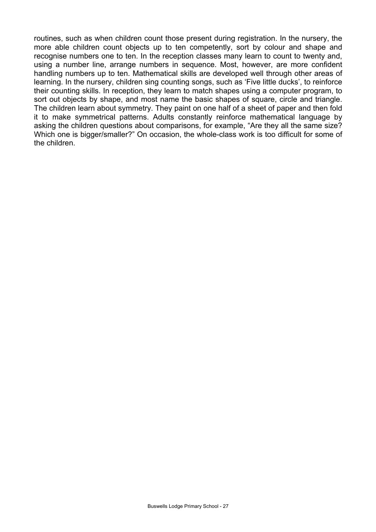routines, such as when children count those present during registration. In the nursery, the more able children count objects up to ten competently, sort by colour and shape and recognise numbers one to ten. In the reception classes many learn to count to twenty and, using a number line, arrange numbers in sequence. Most, however, are more confident handling numbers up to ten. Mathematical skills are developed well through other areas of learning. In the nursery, children sing counting songs, such as 'Five little ducks', to reinforce their counting skills. In reception, they learn to match shapes using a computer program, to sort out objects by shape, and most name the basic shapes of square, circle and triangle. The children learn about symmetry. They paint on one half of a sheet of paper and then fold it to make symmetrical patterns. Adults constantly reinforce mathematical language by asking the children questions about comparisons, for example, "Are they all the same size? Which one is bigger/smaller?" On occasion, the whole-class work is too difficult for some of the children.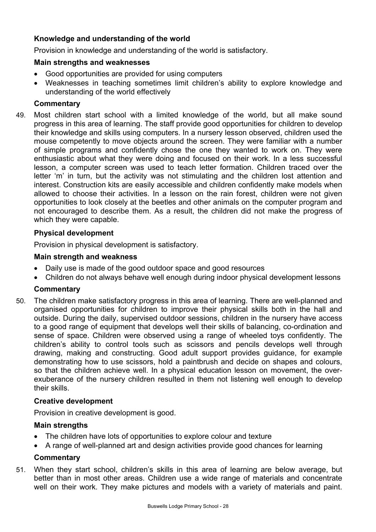# **Knowledge and understanding of the world**

Provision in knowledge and understanding of the world is satisfactory.

# **Main strengths and weaknesses**

- Good opportunities are provided for using computers
- Weaknesses in teaching sometimes limit children's ability to explore knowledge and understanding of the world effectively

# **Commentary**

49. Most children start school with a limited knowledge of the world, but all make sound progress in this area of learning. The staff provide good opportunities for children to develop their knowledge and skills using computers. In a nursery lesson observed, children used the mouse competently to move objects around the screen. They were familiar with a number of simple programs and confidently chose the one they wanted to work on. They were enthusiastic about what they were doing and focused on their work. In a less successful lesson, a computer screen was used to teach letter formation. Children traced over the letter 'm' in turn, but the activity was not stimulating and the children lost attention and interest. Construction kits are easily accessible and children confidently make models when allowed to choose their activities. In a lesson on the rain forest, children were not given opportunities to look closely at the beetles and other animals on the computer program and not encouraged to describe them. As a result, the children did not make the progress of which they were capable.

# **Physical development**

Provision in physical development is satisfactory.

# **Main strength and weakness**

- Daily use is made of the good outdoor space and good resources
- Children do not always behave well enough during indoor physical development lessons

# **Commentary**

50. The children make satisfactory progress in this area of learning. There are well-planned and organised opportunities for children to improve their physical skills both in the hall and outside. During the daily, supervised outdoor sessions, children in the nursery have access to a good range of equipment that develops well their skills of balancing, co-ordination and sense of space. Children were observed using a range of wheeled toys confidently. The children's ability to control tools such as scissors and pencils develops well through drawing, making and constructing. Good adult support provides guidance, for example demonstrating how to use scissors, hold a paintbrush and decide on shapes and colours, so that the children achieve well. In a physical education lesson on movement, the overexuberance of the nursery children resulted in them not listening well enough to develop their skills.

# **Creative development**

Provision in creative development is good.

# **Main strengths**

- The children have lots of opportunities to explore colour and texture
- A range of well-planned art and design activities provide good chances for learning

# **Commentary**

51. When they start school, children's skills in this area of learning are below average, but better than in most other areas. Children use a wide range of materials and concentrate well on their work. They make pictures and models with a variety of materials and paint.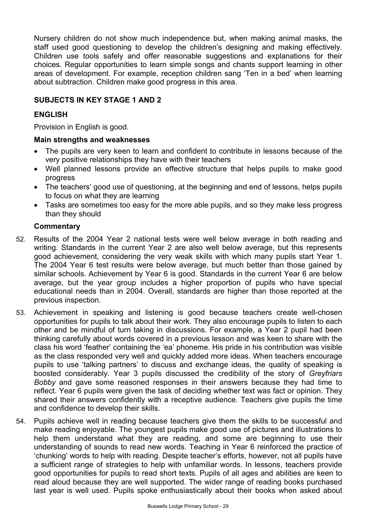Nursery children do not show much independence but, when making animal masks, the staff used good questioning to develop the children's designing and making effectively. Children use tools safely and offer reasonable suggestions and explanations for their choices. Regular opportunities to learn simple songs and chants support learning in other areas of development. For example, reception children sang 'Ten in a bed' when learning about subtraction. Children make good progress in this area.

# **SUBJECTS IN KEY STAGE 1 AND 2**

# **ENGLISH**

Provision in English is good.

# **Main strengths and weaknesses**

- The pupils are very keen to learn and confident to contribute in lessons because of the very positive relationships they have with their teachers
- Well planned lessons provide an effective structure that helps pupils to make good progress
- The teachers' good use of questioning, at the beginning and end of lessons, helps pupils to focus on what they are learning
- Tasks are sometimes too easy for the more able pupils, and so they make less progress than they should

- 52. Results of the 2004 Year 2 national tests were well below average in both reading and writing. Standards in the current Year 2 are also well below average, but this represents good achievement, considering the very weak skills with which many pupils start Year 1. The 2004 Year 6 test results were below average, but much better than those gained by similar schools. Achievement by Year 6 is good. Standards in the current Year 6 are below average, but the year group includes a higher proportion of pupils who have special educational needs than in 2004. Overall, standards are higher than those reported at the previous inspection.
- 53. Achievement in speaking and listening is good because teachers create well-chosen opportunities for pupils to talk about their work. They also encourage pupils to listen to each other and be mindful of turn taking in discussions. For example, a Year 2 pupil had been thinking carefully about words covered in a previous lesson and was keen to share with the class his word 'feather' containing the 'ea' phoneme. His pride in his contribution was visible as the class responded very well and quickly added more ideas. When teachers encourage pupils to use 'talking partners' to discuss and exchange ideas, the quality of speaking is boosted considerably. Year 3 pupils discussed the credibility of the story of *Greyfriars Bobby* and gave some reasoned responses in their answers because they had time to reflect. Year 6 pupils were given the task of deciding whether text was fact or opinion. They shared their answers confidently with a receptive audience. Teachers give pupils the time and confidence to develop their skills.
- 54. Pupils achieve well in reading because teachers give them the skills to be successful and make reading enjoyable. The youngest pupils make good use of pictures and illustrations to help them understand what they are reading, and some are beginning to use their understanding of sounds to read new words. Teaching in Year 6 reinforced the practice of 'chunking' words to help with reading. Despite teacher's efforts, however, not all pupils have a sufficient range of strategies to help with unfamiliar words. In lessons, teachers provide good opportunities for pupils to read short texts. Pupils of all ages and abilities are keen to read aloud because they are well supported. The wider range of reading books purchased last year is well used. Pupils spoke enthusiastically about their books when asked about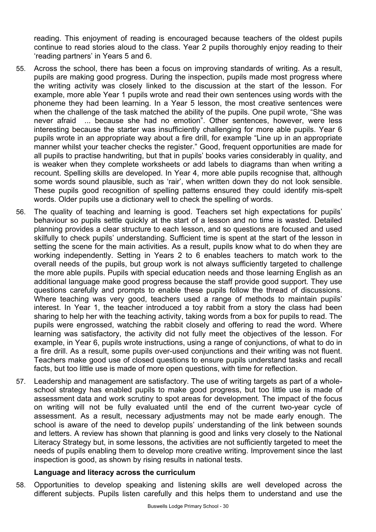reading. This enjoyment of reading is encouraged because teachers of the oldest pupils continue to read stories aloud to the class. Year 2 pupils thoroughly enjoy reading to their 'reading partners' in Years 5 and 6.

- 55. Across the school, there has been a focus on improving standards of writing. As a result, pupils are making good progress. During the inspection, pupils made most progress where the writing activity was closely linked to the discussion at the start of the lesson. For example, more able Year 1 pupils wrote and read their own sentences using words with the phoneme they had been learning. In a Year 5 lesson, the most creative sentences were when the challenge of the task matched the ability of the pupils. One pupil wrote, "She was never afraid ... because she had no emotion". Other sentences, however, were less interesting because the starter was insufficiently challenging for more able pupils. Year 6 pupils wrote in an appropriate way about a fire drill, for example "Line up in an appropriate manner whilst your teacher checks the register." Good, frequent opportunities are made for all pupils to practise handwriting, but that in pupils' books varies considerably in quality, and is weaker when they complete worksheets or add labels to diagrams than when writing a recount. Spelling skills are developed. In Year 4, more able pupils recognise that, although some words sound plausible, such as 'rair', when written down they do not look sensible. These pupils good recognition of spelling patterns ensured they could identify mis-spelt words. Older pupils use a dictionary well to check the spelling of words.
- 56. The quality of teaching and learning is good. Teachers set high expectations for pupils' behaviour so pupils settle quickly at the start of a lesson and no time is wasted. Detailed planning provides a clear structure to each lesson, and so questions are focused and used skilfully to check pupils' understanding. Sufficient time is spent at the start of the lesson in setting the scene for the main activities. As a result, pupils know what to do when they are working independently. Setting in Years 2 to 6 enables teachers to match work to the overall needs of the pupils, but group work is not always sufficiently targeted to challenge the more able pupils. Pupils with special education needs and those learning English as an additional language make good progress because the staff provide good support. They use questions carefully and prompts to enable these pupils follow the thread of discussions. Where teaching was very good, teachers used a range of methods to maintain pupils' interest. In Year 1, the teacher introduced a toy rabbit from a story the class had been sharing to help her with the teaching activity, taking words from a box for pupils to read. The pupils were engrossed, watching the rabbit closely and offering to read the word. Where learning was satisfactory, the activity did not fully meet the objectives of the lesson. For example, in Year 6, pupils wrote instructions, using a range of conjunctions, of what to do in a fire drill. As a result, some pupils over-used conjunctions and their writing was not fluent. Teachers make good use of closed questions to ensure pupils understand tasks and recall facts, but too little use is made of more open questions, with time for reflection.
- 57. Leadership and management are satisfactory. The use of writing targets as part of a wholeschool strategy has enabled pupils to make good progress, but too little use is made of assessment data and work scrutiny to spot areas for development. The impact of the focus on writing will not be fully evaluated until the end of the current two-year cycle of assessment. As a result, necessary adjustments may not be made early enough. The school is aware of the need to develop pupils' understanding of the link between sounds and letters. A review has shown that planning is good and links very closely to the National Literacy Strategy but, in some lessons, the activities are not sufficiently targeted to meet the needs of pupils enabling them to develop more creative writing. Improvement since the last inspection is good, as shown by rising results in national tests.

# **Language and literacy across the curriculum**

58. Opportunities to develop speaking and listening skills are well developed across the different subjects. Pupils listen carefully and this helps them to understand and use the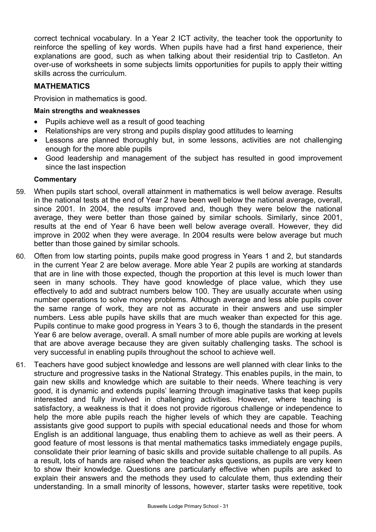correct technical vocabulary. In a Year 2 ICT activity, the teacher took the opportunity to reinforce the spelling of key words. When pupils have had a first hand experience, their explanations are good, such as when talking about their residential trip to Castleton. An over-use of worksheets in some subjects limits opportunities for pupils to apply their witting skills across the curriculum.

# **MATHEMATICS**

Provision in mathematics is good.

# **Main strengths and weaknesses**

- Pupils achieve well as a result of good teaching
- Relationships are very strong and pupils display good attitudes to learning
- Lessons are planned thoroughly but, in some lessons, activities are not challenging enough for the more able pupils
- Good leadership and management of the subject has resulted in good improvement since the last inspection

- 59. When pupils start school, overall attainment in mathematics is well below average. Results in the national tests at the end of Year 2 have been well below the national average, overall, since 2001. In 2004, the results improved and, though they were below the national average, they were better than those gained by similar schools. Similarly, since 2001, results at the end of Year 6 have been well below average overall. However, they did improve in 2002 when they were average. In 2004 results were below average but much better than those gained by similar schools.
- 60. Often from low starting points, pupils make good progress in Years 1 and 2, but standards in the current Year 2 are below average. More able Year 2 pupils are working at standards that are in line with those expected, though the proportion at this level is much lower than seen in many schools. They have good knowledge of place value, which they use effectively to add and subtract numbers below 100. They are usually accurate when using number operations to solve money problems. Although average and less able pupils cover the same range of work, they are not as accurate in their answers and use simpler numbers. Less able pupils have skills that are much weaker than expected for this age. Pupils continue to make good progress in Years 3 to 6, though the standards in the present Year 6 are below average, overall. A small number of more able pupils are working at levels that are above average because they are given suitably challenging tasks. The school is very successful in enabling pupils throughout the school to achieve well.
- 61. Teachers have good subject knowledge and lessons are well planned with clear links to the structure and progressive tasks in the National Strategy. This enables pupils, in the main, to gain new skills and knowledge which are suitable to their needs. Where teaching is very good, it is dynamic and extends pupils' learning through imaginative tasks that keep pupils interested and fully involved in challenging activities. However, where teaching is satisfactory, a weakness is that it does not provide rigorous challenge or independence to help the more able pupils reach the higher levels of which they are capable. Teaching assistants give good support to pupils with special educational needs and those for whom English is an additional language, thus enabling them to achieve as well as their peers. A good feature of most lessons is that mental mathematics tasks immediately engage pupils, consolidate their prior learning of basic skills and provide suitable challenge to all pupils. As a result, lots of hands are raised when the teacher asks questions, as pupils are very keen to show their knowledge. Questions are particularly effective when pupils are asked to explain their answers and the methods they used to calculate them, thus extending their understanding. In a small minority of lessons, however, starter tasks were repetitive, took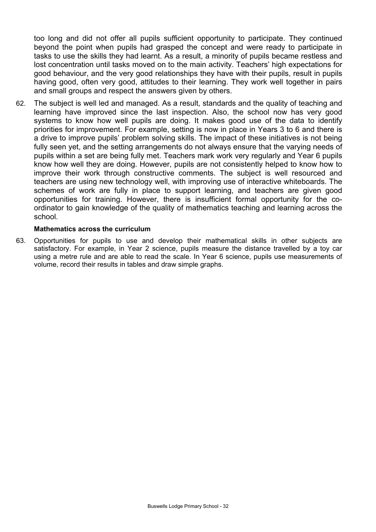too long and did not offer all pupils sufficient opportunity to participate. They continued beyond the point when pupils had grasped the concept and were ready to participate in tasks to use the skills they had learnt. As a result, a minority of pupils became restless and lost concentration until tasks moved on to the main activity. Teachers' high expectations for good behaviour, and the very good relationships they have with their pupils, result in pupils having good, often very good, attitudes to their learning. They work well together in pairs and small groups and respect the answers given by others.

62. The subject is well led and managed. As a result, standards and the quality of teaching and learning have improved since the last inspection. Also, the school now has very good systems to know how well pupils are doing. It makes good use of the data to identify priorities for improvement. For example, setting is now in place in Years 3 to 6 and there is a drive to improve pupils' problem solving skills. The impact of these initiatives is not being fully seen yet, and the setting arrangements do not always ensure that the varying needs of pupils within a set are being fully met. Teachers mark work very regularly and Year 6 pupils know how well they are doing. However, pupils are not consistently helped to know how to improve their work through constructive comments. The subject is well resourced and teachers are using new technology well, with improving use of interactive whiteboards. The schemes of work are fully in place to support learning, and teachers are given good opportunities for training. However, there is insufficient formal opportunity for the coordinator to gain knowledge of the quality of mathematics teaching and learning across the school.

#### **Mathematics across the curriculum**

63. Opportunities for pupils to use and develop their mathematical skills in other subjects are satisfactory. For example, in Year 2 science, pupils measure the distance travelled by a toy car using a metre rule and are able to read the scale. In Year 6 science, pupils use measurements of volume, record their results in tables and draw simple graphs.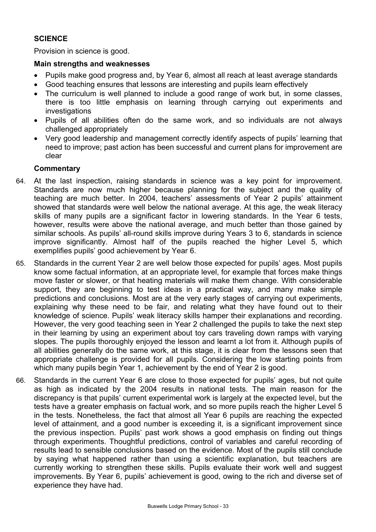# **SCIENCE**

Provision in science is good.

## **Main strengths and weaknesses**

- Pupils make good progress and, by Year 6, almost all reach at least average standards
- Good teaching ensures that lessons are interesting and pupils learn effectively
- The curriculum is well planned to include a good range of work but, in some classes, there is too little emphasis on learning through carrying out experiments and investigations
- Pupils of all abilities often do the same work, and so individuals are not always challenged appropriately
- Very good leadership and management correctly identify aspects of pupils' learning that need to improve; past action has been successful and current plans for improvement are clear

- 64. At the last inspection, raising standards in science was a key point for improvement. Standards are now much higher because planning for the subject and the quality of teaching are much better. In 2004, teachers' assessments of Year 2 pupils' attainment showed that standards were well below the national average. At this age, the weak literacy skills of many pupils are a significant factor in lowering standards. In the Year 6 tests, however, results were above the national average, and much better than those gained by similar schools. As pupils' all-round skills improve during Years 3 to 6, standards in science improve significantly. Almost half of the pupils reached the higher Level 5, which exemplifies pupils' good achievement by Year 6.
- 65. Standards in the current Year 2 are well below those expected for pupils' ages. Most pupils know some factual information, at an appropriate level, for example that forces make things move faster or slower, or that heating materials will make them change. With considerable support, they are beginning to test ideas in a practical way, and many make simple predictions and conclusions. Most are at the very early stages of carrying out experiments, explaining why these need to be fair, and relating what they have found out to their knowledge of science. Pupils' weak literacy skills hamper their explanations and recording. However, the very good teaching seen in Year 2 challenged the pupils to take the next step in their learning by using an experiment about toy cars traveling down ramps with varying slopes. The pupils thoroughly enjoyed the lesson and learnt a lot from it. Although pupils of all abilities generally do the same work, at this stage, it is clear from the lessons seen that appropriate challenge is provided for all pupils. Considering the low starting points from which many pupils begin Year 1, achievement by the end of Year 2 is good.
- 66. Standards in the current Year 6 are close to those expected for pupils' ages, but not quite as high as indicated by the 2004 results in national tests. The main reason for the discrepancy is that pupils' current experimental work is largely at the expected level, but the tests have a greater emphasis on factual work, and so more pupils reach the higher Level 5 in the tests. Nonetheless, the fact that almost all Year 6 pupils are reaching the expected level of attainment, and a good number is exceeding it, is a significant improvement since the previous inspection. Pupils' past work shows a good emphasis on finding out things through experiments. Thoughtful predictions, control of variables and careful recording of results lead to sensible conclusions based on the evidence. Most of the pupils still conclude by saying what happened rather than using a scientific explanation, but teachers are currently working to strengthen these skills. Pupils evaluate their work well and suggest improvements. By Year 6, pupils' achievement is good, owing to the rich and diverse set of experience they have had.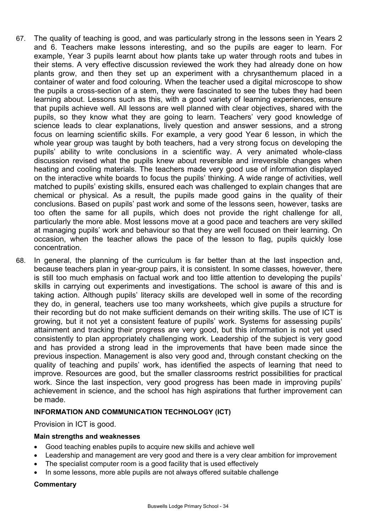- 67. The quality of teaching is good, and was particularly strong in the lessons seen in Years 2 and 6. Teachers make lessons interesting, and so the pupils are eager to learn. For example, Year 3 pupils learnt about how plants take up water through roots and tubes in their stems. A very effective discussion reviewed the work they had already done on how plants grow, and then they set up an experiment with a chrysanthemum placed in a container of water and food colouring. When the teacher used a digital microscope to show the pupils a cross-section of a stem, they were fascinated to see the tubes they had been learning about. Lessons such as this, with a good variety of learning experiences, ensure that pupils achieve well. All lessons are well planned with clear objectives, shared with the pupils, so they know what they are going to learn. Teachers' very good knowledge of science leads to clear explanations, lively question and answer sessions, and a strong focus on learning scientific skills. For example, a very good Year 6 lesson, in which the whole year group was taught by both teachers, had a very strong focus on developing the pupils' ability to write conclusions in a scientific way. A very animated whole-class discussion revised what the pupils knew about reversible and irreversible changes when heating and cooling materials. The teachers made very good use of information displayed on the interactive white boards to focus the pupils' thinking. A wide range of activities, well matched to pupils' existing skills, ensured each was challenged to explain changes that are chemical or physical. As a result, the pupils made good gains in the quality of their conclusions. Based on pupils' past work and some of the lessons seen, however, tasks are too often the same for all pupils, which does not provide the right challenge for all, particularly the more able. Most lessons move at a good pace and teachers are very skilled at managing pupils' work and behaviour so that they are well focused on their learning. On occasion, when the teacher allows the pace of the lesson to flag, pupils quickly lose concentration.
- 68. In general, the planning of the curriculum is far better than at the last inspection and, because teachers plan in year-group pairs, it is consistent. In some classes, however, there is still too much emphasis on factual work and too little attention to developing the pupils' skills in carrying out experiments and investigations. The school is aware of this and is taking action. Although pupils' literacy skills are developed well in some of the recording they do, in general, teachers use too many worksheets, which give pupils a structure for their recording but do not make sufficient demands on their writing skills. The use of ICT is growing, but it not yet a consistent feature of pupils' work. Systems for assessing pupils' attainment and tracking their progress are very good, but this information is not yet used consistently to plan appropriately challenging work. Leadership of the subject is very good and has provided a strong lead in the improvements that have been made since the previous inspection. Management is also very good and, through constant checking on the quality of teaching and pupils' work, has identified the aspects of learning that need to improve. Resources are good, but the smaller classrooms restrict possibilities for practical work. Since the last inspection, very good progress has been made in improving pupils' achievement in science, and the school has high aspirations that further improvement can be made.

#### **INFORMATION AND COMMUNICATION TECHNOLOGY (ICT)**

Provision in ICT is good.

#### **Main strengths and weaknesses**

- Good teaching enables pupils to acquire new skills and achieve well
- Leadership and management are very good and there is a very clear ambition for improvement
- The specialist computer room is a good facility that is used effectively
- In some lessons, more able pupils are not always offered suitable challenge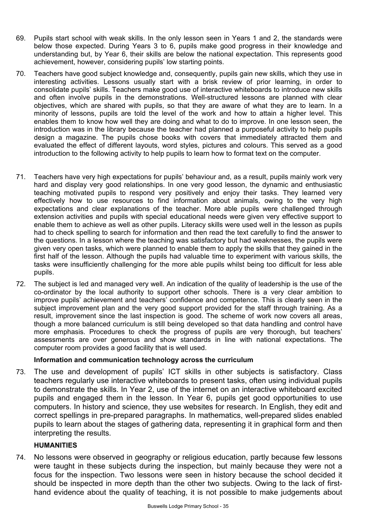- 69. Pupils start school with weak skills. In the only lesson seen in Years 1 and 2, the standards were below those expected. During Years 3 to 6, pupils make good progress in their knowledge and understanding but, by Year 6, their skills are below the national expectation. This represents good achievement, however, considering pupils' low starting points.
- 70. Teachers have good subject knowledge and, consequently, pupils gain new skills, which they use in interesting activities. Lessons usually start with a brisk review of prior learning, in order to consolidate pupils' skills. Teachers make good use of interactive whiteboards to introduce new skills and often involve pupils in the demonstrations. Well-structured lessons are planned with clear objectives, which are shared with pupils, so that they are aware of what they are to learn. In a minority of lessons, pupils are told the level of the work and how to attain a higher level. This enables them to know how well they are doing and what to do to improve. In one lesson seen, the introduction was in the library because the teacher had planned a purposeful activity to help pupils design a magazine. The pupils chose books with covers that immediately attracted them and evaluated the effect of different layouts, word styles, pictures and colours. This served as a good introduction to the following activity to help pupils to learn how to format text on the computer.
- 71. Teachers have very high expectations for pupils' behaviour and, as a result, pupils mainly work very hard and display very good relationships. In one very good lesson, the dynamic and enthusiastic teaching motivated pupils to respond very positively and enjoy their tasks. They learned very effectively how to use resources to find information about animals, owing to the very high expectations and clear explanations of the teacher. More able pupils were challenged through extension activities and pupils with special educational needs were given very effective support to enable them to achieve as well as other pupils. Literacy skills were used well in the lesson as pupils had to check spelling to search for information and then read the text carefully to find the answer to the questions. In a lesson where the teaching was satisfactory but had weaknesses, the pupils were given very open tasks, which were planned to enable them to apply the skills that they gained in the first half of the lesson. Although the pupils had valuable time to experiment with various skills, the tasks were insufficiently challenging for the more able pupils whilst being too difficult for less able pupils.
- 72. The subject is led and managed very well. An indication of the quality of leadership is the use of the co-ordinator by the local authority to support other schools. There is a very clear ambition to improve pupils' achievement and teachers' confidence and competence. This is clearly seen in the subject improvement plan and the very good support provided for the staff through training. As a result, improvement since the last inspection is good. The scheme of work now covers all areas, though a more balanced curriculum is still being developed so that data handling and control have more emphasis. Procedures to check the progress of pupils are very thorough, but teachers' assessments are over generous and show standards in line with national expectations. The computer room provides a good facility that is well used.

# **Information and communication technology across the curriculum**

73. The use and development of pupils' ICT skills in other subjects is satisfactory. Class teachers regularly use interactive whiteboards to present tasks, often using individual pupils to demonstrate the skills. In Year 2, use of the internet on an interactive whiteboard excited pupils and engaged them in the lesson. In Year 6, pupils get good opportunities to use computers. In history and science, they use websites for research. In English, they edit and correct spellings in pre-prepared paragraphs. In mathematics, well-prepared slides enabled pupils to learn about the stages of gathering data, representing it in graphical form and then interpreting the results.

# **HUMANITIES**

74. No lessons were observed in geography or religious education, partly because few lessons were taught in these subjects during the inspection, but mainly because they were not a focus for the inspection. Two lessons were seen in history because the school decided it should be inspected in more depth than the other two subjects. Owing to the lack of firsthand evidence about the quality of teaching, it is not possible to make judgements about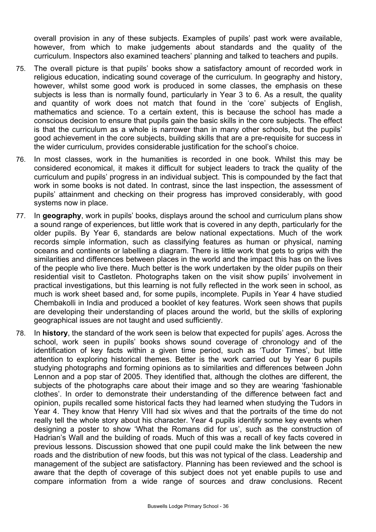overall provision in any of these subjects. Examples of pupils' past work were available, however, from which to make judgements about standards and the quality of the curriculum. Inspectors also examined teachers' planning and talked to teachers and pupils.

- 75. The overall picture is that pupils' books show a satisfactory amount of recorded work in religious education, indicating sound coverage of the curriculum. In geography and history, however, whilst some good work is produced in some classes, the emphasis on these subjects is less than is normally found, particularly in Year 3 to 6. As a result, the quality and quantity of work does not match that found in the 'core' subjects of English, mathematics and science. To a certain extent, this is because the school has made a conscious decision to ensure that pupils gain the basic skills in the core subjects. The effect is that the curriculum as a whole is narrower than in many other schools, but the pupils' good achievement in the core subjects, building skills that are a pre-requisite for success in the wider curriculum, provides considerable justification for the school's choice.
- 76. In most classes, work in the humanities is recorded in one book. Whilst this may be considered economical, it makes it difficult for subject leaders to track the quality of the curriculum and pupils' progress in an individual subject. This is compounded by the fact that work in some books is not dated. In contrast, since the last inspection, the assessment of pupils' attainment and checking on their progress has improved considerably, with good systems now in place.
- 77. In **geography**, work in pupils' books, displays around the school and curriculum plans show a sound range of experiences, but little work that is covered in any depth, particularly for the older pupils. By Year 6, standards are below national expectations. Much of the work records simple information, such as classifying features as human or physical, naming oceans and continents or labelling a diagram. There is little work that gets to grips with the similarities and differences between places in the world and the impact this has on the lives of the people who live there. Much better is the work undertaken by the older pupils on their residential visit to Castleton. Photographs taken on the visit show pupils' involvement in practical investigations, but this learning is not fully reflected in the work seen in school, as much is work sheet based and, for some pupils, incomplete. Pupils in Year 4 have studied Chembakolli in India and produced a booklet of key features. Work seen shows that pupils are developing their understanding of places around the world, but the skills of exploring geographical issues are not taught and used sufficiently.
- 78. In **history**, the standard of the work seen is below that expected for pupils' ages. Across the school, work seen in pupils' books shows sound coverage of chronology and of the identification of key facts within a given time period, such as 'Tudor Times', but little attention to exploring historical themes. Better is the work carried out by Year 6 pupils studying photographs and forming opinions as to similarities and differences between John Lennon and a pop star of 2005. They identified that, although the clothes are different, the subjects of the photographs care about their image and so they are wearing 'fashionable clothes'. In order to demonstrate their understanding of the difference between fact and opinion, pupils recalled some historical facts they had learned when studying the Tudors in Year 4. They know that Henry VIII had six wives and that the portraits of the time do not really tell the whole story about his character. Year 4 pupils identify some key events when designing a poster to show 'What the Romans did for us', such as the construction of Hadrian's Wall and the building of roads. Much of this was a recall of key facts covered in previous lessons. Discussion showed that one pupil could make the link between the new roads and the distribution of new foods, but this was not typical of the class. Leadership and management of the subject are satisfactory. Planning has been reviewed and the school is aware that the depth of coverage of this subject does not yet enable pupils to use and compare information from a wide range of sources and draw conclusions. Recent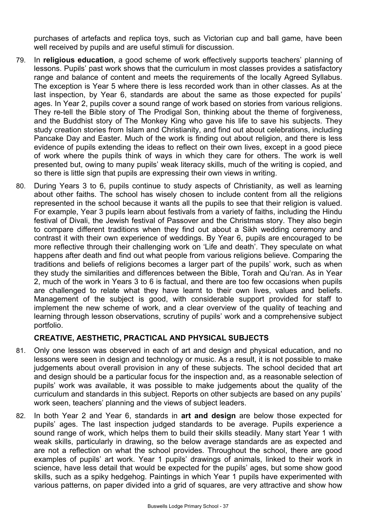purchases of artefacts and replica toys, such as Victorian cup and ball game, have been well received by pupils and are useful stimuli for discussion.

- 79. In **religious education**, a good scheme of work effectively supports teachers' planning of lessons. Pupils' past work shows that the curriculum in most classes provides a satisfactory range and balance of content and meets the requirements of the locally Agreed Syllabus. The exception is Year 5 where there is less recorded work than in other classes. As at the last inspection, by Year 6, standards are about the same as those expected for pupils' ages. In Year 2, pupils cover a sound range of work based on stories from various religions. They re-tell the Bible story of The Prodigal Son, thinking about the theme of forgiveness, and the Buddhist story of The Monkey King who gave his life to save his subjects. They study creation stories from Islam and Christianity, and find out about celebrations, including Pancake Day and Easter. Much of the work is finding out about religion, and there is less evidence of pupils extending the ideas to reflect on their own lives, except in a good piece of work where the pupils think of ways in which they care for others. The work is well presented but, owing to many pupils' weak literacy skills, much of the writing is copied, and so there is little sign that pupils are expressing their own views in writing.
- 80. During Years 3 to 6, pupils continue to study aspects of Christianity, as well as learning about other faiths. The school has wisely chosen to include content from all the religions represented in the school because it wants all the pupils to see that their religion is valued. For example, Year 3 pupils learn about festivals from a variety of faiths, including the Hindu festival of Divali, the Jewish festival of Passover and the Christmas story. They also begin to compare different traditions when they find out about a Sikh wedding ceremony and contrast it with their own experience of weddings. By Year 6, pupils are encouraged to be more reflective through their challenging work on 'Life and death'. They speculate on what happens after death and find out what people from various religions believe. Comparing the traditions and beliefs of religions becomes a larger part of the pupils' work, such as when they study the similarities and differences between the Bible, Torah and Qu'ran. As in Year 2, much of the work in Years 3 to 6 is factual, and there are too few occasions when pupils are challenged to relate what they have learnt to their own lives, values and beliefs. Management of the subject is good, with considerable support provided for staff to implement the new scheme of work, and a clear overview of the quality of teaching and learning through lesson observations, scrutiny of pupils' work and a comprehensive subject portfolio.

# **CREATIVE, AESTHETIC, PRACTICAL AND PHYSICAL SUBJECTS**

- 81. Only one lesson was observed in each of art and design and physical education, and no lessons were seen in design and technology or music. As a result, it is not possible to make judgements about overall provision in any of these subjects. The school decided that art and design should be a particular focus for the inspection and, as a reasonable selection of pupils' work was available, it was possible to make judgements about the quality of the curriculum and standards in this subject. Reports on other subjects are based on any pupils' work seen, teachers' planning and the views of subject leaders.
- 82. In both Year 2 and Year 6, standards in **art and design** are below those expected for pupils' ages. The last inspection judged standards to be average. Pupils experience a sound range of work, which helps them to build their skills steadily. Many start Year 1 with weak skills, particularly in drawing, so the below average standards are as expected and are not a reflection on what the school provides. Throughout the school, there are good examples of pupils' art work. Year 1 pupils' drawings of animals, linked to their work in science, have less detail that would be expected for the pupils' ages, but some show good skills, such as a spiky hedgehog. Paintings in which Year 1 pupils have experimented with various patterns, on paper divided into a grid of squares, are very attractive and show how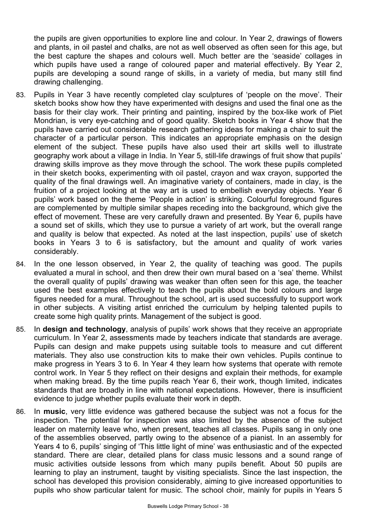the pupils are given opportunities to explore line and colour. In Year 2, drawings of flowers and plants, in oil pastel and chalks, are not as well observed as often seen for this age, but the best capture the shapes and colours well. Much better are the 'seaside' collages in which pupils have used a range of coloured paper and material effectively. By Year 2, pupils are developing a sound range of skills, in a variety of media, but many still find drawing challenging.

- 83. Pupils in Year 3 have recently completed clay sculptures of 'people on the move'. Their sketch books show how they have experimented with designs and used the final one as the basis for their clay work. Their printing and painting, inspired by the box-like work of Piet Mondrian, is very eye-catching and of good quality. Sketch books in Year 4 show that the pupils have carried out considerable research gathering ideas for making a chair to suit the character of a particular person. This indicates an appropriate emphasis on the design element of the subject. These pupils have also used their art skills well to illustrate geography work about a village in India. In Year 5, still-life drawings of fruit show that pupils' drawing skills improve as they move through the school. The work these pupils completed in their sketch books, experimenting with oil pastel, crayon and wax crayon, supported the quality of the final drawings well. An imaginative variety of containers, made in clay, is the fruition of a project looking at the way art is used to embellish everyday objects. Year 6 pupils' work based on the theme 'People in action' is striking. Colourful foreground figures are complemented by multiple similar shapes receding into the background, which give the effect of movement. These are very carefully drawn and presented. By Year 6, pupils have a sound set of skills, which they use to pursue a variety of art work, but the overall range and quality is below that expected. As noted at the last inspection, pupils' use of sketch books in Years 3 to 6 is satisfactory, but the amount and quality of work varies considerably.
- 84. In the one lesson observed, in Year 2, the quality of teaching was good. The pupils evaluated a mural in school, and then drew their own mural based on a 'sea' theme. Whilst the overall quality of pupils' drawing was weaker than often seen for this age, the teacher used the best examples effectively to teach the pupils about the bold colours and large figures needed for a mural. Throughout the school, art is used successfully to support work in other subjects. A visiting artist enriched the curriculum by helping talented pupils to create some high quality prints. Management of the subject is good.
- 85. In **design and technology**, analysis of pupils' work shows that they receive an appropriate curriculum. In Year 2, assessments made by teachers indicate that standards are average. Pupils can design and make puppets using suitable tools to measure and cut different materials. They also use construction kits to make their own vehicles. Pupils continue to make progress in Years 3 to 6. In Year 4 they learn how systems that operate with remote control work. In Year 5 they reflect on their designs and explain their methods, for example when making bread. By the time pupils reach Year 6, their work, though limited, indicates standards that are broadly in line with national expectations. However, there is insufficient evidence to judge whether pupils evaluate their work in depth.
- 86. In **music**, very little evidence was gathered because the subject was not a focus for the inspection. The potential for inspection was also limited by the absence of the subject leader on maternity leave who, when present, teaches all classes. Pupils sang in only one of the assemblies observed, partly owing to the absence of a pianist. In an assembly for Years 4 to 6, pupils' singing of 'This little light of mine' was enthusiastic and of the expected standard. There are clear, detailed plans for class music lessons and a sound range of music activities outside lessons from which many pupils benefit. About 50 pupils are learning to play an instrument, taught by visiting specialists. Since the last inspection, the school has developed this provision considerably, aiming to give increased opportunities to pupils who show particular talent for music. The school choir, mainly for pupils in Years 5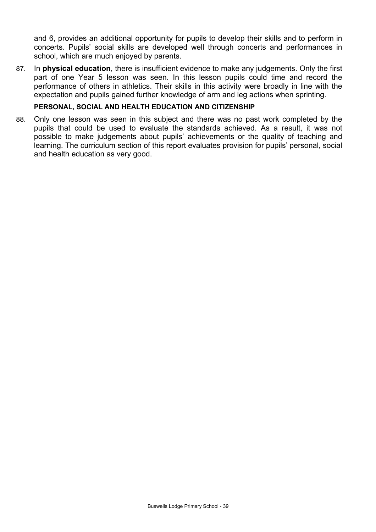and 6, provides an additional opportunity for pupils to develop their skills and to perform in concerts. Pupils' social skills are developed well through concerts and performances in school, which are much enjoyed by parents.

87. In **physical education**, there is insufficient evidence to make any judgements. Only the first part of one Year 5 lesson was seen. In this lesson pupils could time and record the performance of others in athletics. Their skills in this activity were broadly in line with the expectation and pupils gained further knowledge of arm and leg actions when sprinting.

#### **PERSONAL, SOCIAL AND HEALTH EDUCATION AND CITIZENSHIP**

88. Only one lesson was seen in this subject and there was no past work completed by the pupils that could be used to evaluate the standards achieved. As a result, it was not possible to make judgements about pupils' achievements or the quality of teaching and learning. The curriculum section of this report evaluates provision for pupils' personal, social and health education as very good.